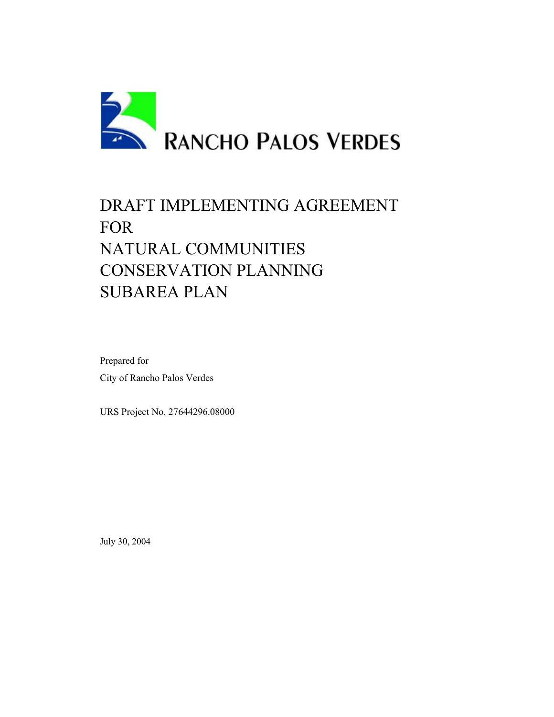

# DRAFT IMPLEMENTING AGREEMENT FOR NATURAL COMMUNITIES CONSERVATION PLANNING SUBAREA PLAN

Prepared for City of Rancho Palos Verdes

URS Project No. 27644296.08000

July 30, 2004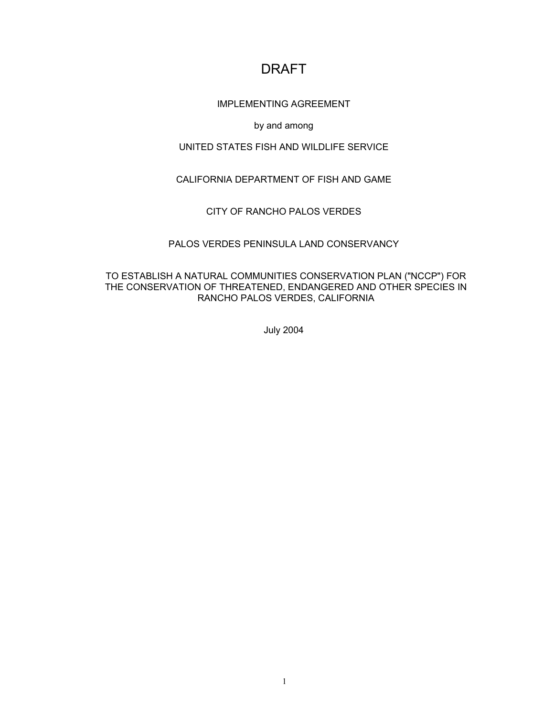## DRAFT

## IMPLEMENTING AGREEMENT

#### by and among

## UNITED STATES FISH AND WILDLIFE SERVICE

#### CALIFORNIA DEPARTMENT OF FISH AND GAME

#### CITY OF RANCHO PALOS VERDES

#### PALOS VERDES PENINSULA LAND CONSERVANCY

#### TO ESTABLISH A NATURAL COMMUNITIES CONSERVATION PLAN ("NCCP") FOR THE CONSERVATION OF THREATENED, ENDANGERED AND OTHER SPECIES IN RANCHO PALOS VERDES, CALIFORNIA

July 2004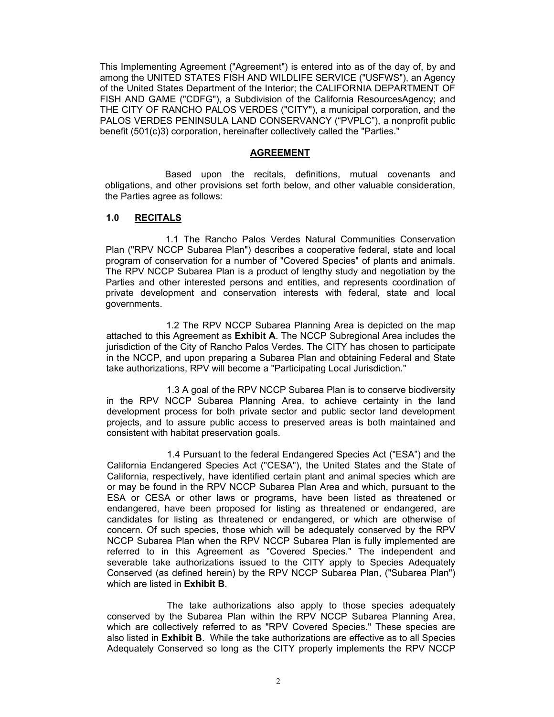This Implementing Agreement ("Agreement") is entered into as of the day of, by and among the UNITED STATES FISH AND WILDLIFE SERVICE ("USFWS"), an Agency of the United States Department of the Interior; the CALIFORNIA DEPARTMENT OF FISH AND GAME ("CDFG"), a Subdivision of the California ResourcesAgency; and THE CITY OF RANCHO PALOS VERDES ("CITY"), a municipal corporation, and the PALOS VERDES PENINSULA LAND CONSERVANCY ("PVPLC"), a nonprofit public benefit (501(c)3) corporation, hereinafter collectively called the "Parties."

#### **AGREEMENT**

Based upon the recitals, definitions, mutual covenants and obligations, and other provisions set forth below, and other valuable consideration, the Parties agree as follows:

#### **1.0 RECITALS**

1.1 The Rancho Palos Verdes Natural Communities Conservation Plan ("RPV NCCP Subarea Plan") describes a cooperative federal, state and local program of conservation for a number of "Covered Species" of plants and animals. The RPV NCCP Subarea Plan is a product of lengthy study and negotiation by the Parties and other interested persons and entities, and represents coordination of private development and conservation interests with federal, state and local governments.

1.2 The RPV NCCP Subarea Planning Area is depicted on the map attached to this Agreement as **Exhibit A**. The NCCP Subregional Area includes the jurisdiction of the City of Rancho Palos Verdes. The CITY has chosen to participate in the NCCP, and upon preparing a Subarea Plan and obtaining Federal and State take authorizations, RPV will become a "Participating Local Jurisdiction."

1.3 A goal of the RPV NCCP Subarea Plan is to conserve biodiversity in the RPV NCCP Subarea Planning Area, to achieve certainty in the land development process for both private sector and public sector land development projects, and to assure public access to preserved areas is both maintained and consistent with habitat preservation goals.

1.4 Pursuant to the federal Endangered Species Act ("ESA") and the California Endangered Species Act ("CESA"), the United States and the State of California, respectively, have identified certain plant and animal species which are or may be found in the RPV NCCP Subarea Plan Area and which, pursuant to the ESA or CESA or other laws or programs, have been listed as threatened or endangered, have been proposed for listing as threatened or endangered, are candidates for listing as threatened or endangered, or which are otherwise of concern. Of such species, those which will be adequately conserved by the RPV NCCP Subarea Plan when the RPV NCCP Subarea Plan is fully implemented are referred to in this Agreement as "Covered Species." The independent and severable take authorizations issued to the CITY apply to Species Adequately Conserved (as defined herein) by the RPV NCCP Subarea Plan, ("Subarea Plan") which are listed in **Exhibit B**.

The take authorizations also apply to those species adequately conserved by the Subarea Plan within the RPV NCCP Subarea Planning Area, which are collectively referred to as "RPV Covered Species." These species are also listed in **Exhibit B**. While the take authorizations are effective as to all Species Adequately Conserved so long as the CITY properly implements the RPV NCCP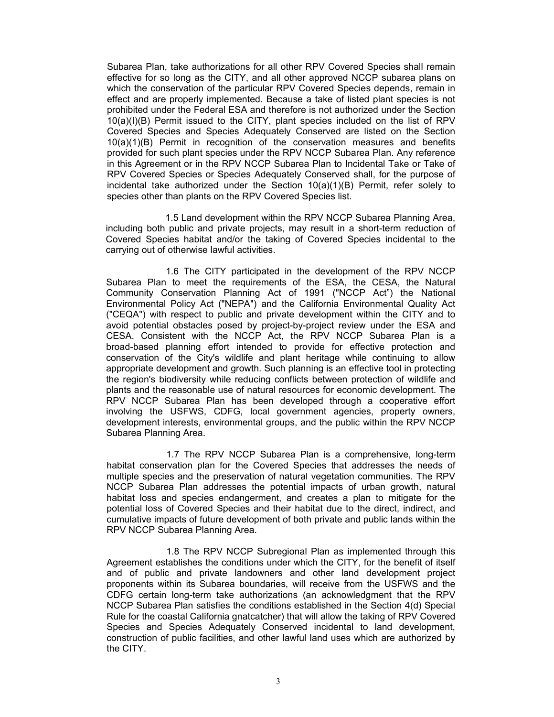Subarea Plan, take authorizations for all other RPV Covered Species shall remain effective for so long as the CITY, and all other approved NCCP subarea plans on which the conservation of the particular RPV Covered Species depends, remain in effect and are properly implemented. Because a take of listed plant species is not prohibited under the Federal ESA and therefore is not authorized under the Section 10(a)(I)(B) Permit issued to the CITY, plant species included on the list of RPV Covered Species and Species Adequately Conserved are listed on the Section 10(a)(1)(B) Permit in recognition of the conservation measures and benefits provided for such plant species under the RPV NCCP Subarea Plan. Any reference in this Agreement or in the RPV NCCP Subarea Plan to Incidental Take or Take of RPV Covered Species or Species Adequately Conserved shall, for the purpose of incidental take authorized under the Section  $10(a)(1)(B)$  Permit, refer solely to species other than plants on the RPV Covered Species list.

1.5 Land development within the RPV NCCP Subarea Planning Area, including both public and private projects, may result in a short-term reduction of Covered Species habitat and/or the taking of Covered Species incidental to the carrying out of otherwise lawful activities.

1.6 The CITY participated in the development of the RPV NCCP Subarea Plan to meet the requirements of the ESA, the CESA, the Natural Community Conservation Planning Act of 1991 ("NCCP Act") the National Environmental Policy Act ("NEPA") and the California Environmental Quality Act ("CEQA") with respect to public and private development within the CITY and to avoid potential obstacles posed by project-by-project review under the ESA and CESA. Consistent with the NCCP Act, the RPV NCCP Subarea Plan is a broad-based planning effort intended to provide for effective protection and conservation of the City's wildlife and plant heritage while continuing to allow appropriate development and growth. Such planning is an effective tool in protecting the region's biodiversity while reducing conflicts between protection of wildlife and plants and the reasonable use of natural resources for economic development. The RPV NCCP Subarea Plan has been developed through a cooperative effort involving the USFWS, CDFG, local government agencies, property owners, development interests, environmental groups, and the public within the RPV NCCP Subarea Planning Area.

1.7 The RPV NCCP Subarea Plan is a comprehensive, long-term habitat conservation plan for the Covered Species that addresses the needs of multiple species and the preservation of natural vegetation communities. The RPV NCCP Subarea Plan addresses the potential impacts of urban growth, natural habitat loss and species endangerment, and creates a plan to mitigate for the potential loss of Covered Species and their habitat due to the direct, indirect, and cumulative impacts of future development of both private and public lands within the RPV NCCP Subarea Planning Area.

1.8 The RPV NCCP Subregional Plan as implemented through this Agreement establishes the conditions under which the CITY, for the benefit of itself and of public and private landowners and other land development project proponents within its Subarea boundaries, will receive from the USFWS and the CDFG certain long-term take authorizations (an acknowledgment that the RPV NCCP Subarea Plan satisfies the conditions established in the Section 4(d) Special Rule for the coastal California gnatcatcher) that will allow the taking of RPV Covered Species and Species Adequately Conserved incidental to land development, construction of public facilities, and other lawful land uses which are authorized by the CITY.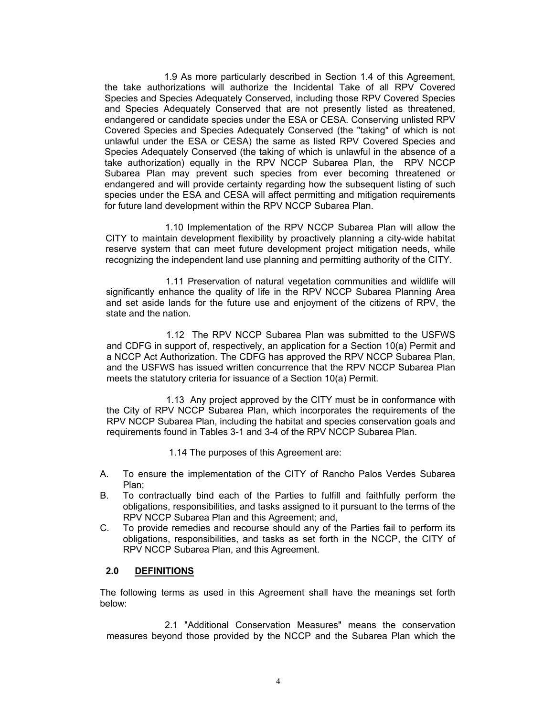1.9 As more particularly described in Section 1.4 of this Agreement, the take authorizations will authorize the Incidental Take of all RPV Covered Species and Species Adequately Conserved, including those RPV Covered Species and Species Adequately Conserved that are not presently listed as threatened, endangered or candidate species under the ESA or CESA. Conserving unlisted RPV Covered Species and Species Adequately Conserved (the "taking" of which is not unlawful under the ESA or CESA) the same as listed RPV Covered Species and Species Adequately Conserved (the taking of which is unlawful in the absence of a take authorization) equally in the RPV NCCP Subarea Plan, the RPV NCCP Subarea Plan may prevent such species from ever becoming threatened or endangered and will provide certainty regarding how the subsequent listing of such species under the ESA and CESA will affect permitting and mitigation requirements for future land development within the RPV NCCP Subarea Plan.

1.10 Implementation of the RPV NCCP Subarea Plan will allow the CITY to maintain development flexibility by proactively planning a city-wide habitat reserve system that can meet future development project mitigation needs, while recognizing the independent land use planning and permitting authority of the CITY.

1.11 Preservation of natural vegetation communities and wildlife will significantly enhance the quality of life in the RPV NCCP Subarea Planning Area and set aside lands for the future use and enjoyment of the citizens of RPV, the state and the nation.

1.12 The RPV NCCP Subarea Plan was submitted to the USFWS and CDFG in support of, respectively, an application for a Section 10(a) Permit and a NCCP Act Authorization. The CDFG has approved the RPV NCCP Subarea Plan, and the USFWS has issued written concurrence that the RPV NCCP Subarea Plan meets the statutory criteria for issuance of a Section 10(a) Permit.

1.13 Any project approved by the CITY must be in conformance with the City of RPV NCCP Subarea Plan, which incorporates the requirements of the RPV NCCP Subarea Plan, including the habitat and species conservation goals and requirements found in Tables 3-1 and 3-4 of the RPV NCCP Subarea Plan.

1.14 The purposes of this Agreement are:

- A. To ensure the implementation of the CITY of Rancho Palos Verdes Subarea Plan;
- B. To contractually bind each of the Parties to fulfill and faithfully perform the obligations, responsibilities, and tasks assigned to it pursuant to the terms of the RPV NCCP Subarea Plan and this Agreement; and,
- C. To provide remedies and recourse should any of the Parties fail to perform its obligations, responsibilities, and tasks as set forth in the NCCP, the CITY of RPV NCCP Subarea Plan, and this Agreement.

#### **2.0 DEFINITIONS**

The following terms as used in this Agreement shall have the meanings set forth below:

2.1 "Additional Conservation Measures" means the conservation measures beyond those provided by the NCCP and the Subarea Plan which the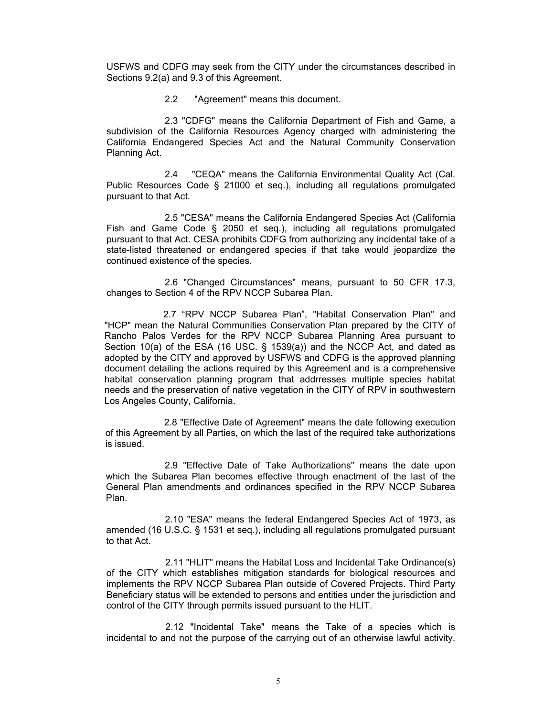USFWS and CDFG may seek from the CITY under the circumstances described in Sections 9.2(a) and 9.3 of this Agreement.

2.2 "Agreement" means this document.

2.3 "CDFG" means the California Department of Fish and Game, a subdivision of the California Resources Agency charged with administering the California Endangered Species Act and the Natural Community Conservation Planning Act.

2.4 "CEQA" means the California Environmental Quality Act (Cal. Public Resources Code § 21000 et seq.), including all regulations promulgated pursuant to that Act.

2.5 "CESA" means the California Endangered Species Act (California Fish and Game Code § 2050 et seq.), including all regulations promulgated pursuant to that Act. CESA prohibits CDFG from authorizing any incidental take of a state-listed threatened or endangered species if that take would jeopardize the continued existence of the species.

2.6 "Changed Circumstances" means, pursuant to 50 CFR 17.3, changes to Section 4 of the RPV NCCP Subarea Plan.

2.7 "RPV NCCP Subarea Plan", "Habitat Conservation Plan" and "HCP" mean the Natural Communities Conservation Plan prepared by the CITY of Rancho Palos Verdes for the RPV NCCP Subarea Planning Area pursuant to Section 10(a) of the ESA (16 USC.  $\S$  1539(a)) and the NCCP Act, and dated as adopted by the CITY and approved by USFWS and CDFG is the approved planning document detailing the actions required by this Agreement and is a comprehensive habitat conservation planning program that addrresses multiple species habitat needs and the preservation of native vegetation in the CITY of RPV in southwestern Los Angeles County, California.

2.8 "Effective Date of Agreement" means the date following execution of this Agreement by all Parties, on which the last of the required take authorizations is issued.

2.9 "Effective Date of Take Authorizations" means the date upon which the Subarea Plan becomes effective through enactment of the last of the General Plan amendments and ordinances specified in the RPV NCCP Subarea Plan.

2.10 "ESA" means the federal Endangered Species Act of 1973, as amended (16 U.S.C. § 1531 et seq.), including all regulations promulgated pursuant to that Act.

2.11 "HLIT" means the Habitat Loss and Incidental Take Ordinance(s) of the CITY which establishes mitigation standards for biological resources and implements the RPV NCCP Subarea Plan outside of Covered Projects. Third Party Beneficiary status will be extended to persons and entities under the jurisdiction and control of the CITY through permits issued pursuant to the HLIT.

2.12 "Incidental Take" means the Take of a species which is incidental to and not the purpose of the carrying out of an otherwise lawful activity.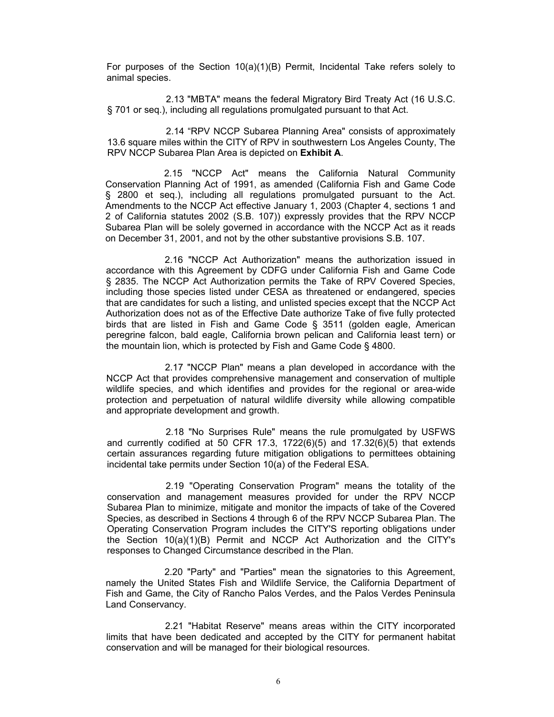For purposes of the Section  $10(a)(1)(B)$  Permit, Incidental Take refers solely to animal species.

2.13 "MBTA" means the federal Migratory Bird Treaty Act (16 U.S.C. § 701 or seq.), including all regulations promulgated pursuant to that Act.

2.14 "RPV NCCP Subarea Planning Area" consists of approximately 13.6 square miles within the CITY of RPV in southwestern Los Angeles County, The RPV NCCP Subarea Plan Area is depicted on **Exhibit A**.

2.15 "NCCP Act" means the California Natural Community Conservation Planning Act of 1991, as amended (California Fish and Game Code § 2800 et seq.), including all regulations promulgated pursuant to the Act. Amendments to the NCCP Act effective January 1, 2003 (Chapter 4, sections 1 and 2 of California statutes 2002 (S.B. 107)) expressly provides that the RPV NCCP Subarea Plan will be solely governed in accordance with the NCCP Act as it reads on December 31, 2001, and not by the other substantive provisions S.B. 107.

2.16 "NCCP Act Authorization" means the authorization issued in accordance with this Agreement by CDFG under California Fish and Game Code § 2835. The NCCP Act Authorization permits the Take of RPV Covered Species, including those species listed under CESA as threatened or endangered, species that are candidates for such a listing, and unlisted species except that the NCCP Act Authorization does not as of the Effective Date authorize Take of five fully protected birds that are listed in Fish and Game Code § 3511 (golden eagle, American peregrine falcon, bald eagle, California brown pelican and California least tern) or the mountain lion, which is protected by Fish and Game Code § 4800.

2.17 "NCCP Plan" means a plan developed in accordance with the NCCP Act that provides comprehensive management and conservation of multiple wildlife species, and which identifies and provides for the regional or area-wide protection and perpetuation of natural wildlife diversity while allowing compatible and appropriate development and growth.

2.18 "No Surprises Rule" means the rule promulgated by USFWS and currently codified at 50 CFR 17.3, 1722 $(6)(5)$  and 17.32 $(6)(5)$  that extends certain assurances regarding future mitigation obligations to permittees obtaining incidental take permits under Section 10(a) of the Federal ESA.

2.19 "Operating Conservation Program" means the totality of the conservation and management measures provided for under the RPV NCCP Subarea Plan to minimize, mitigate and monitor the impacts of take of the Covered Species, as described in Sections 4 through 6 of the RPV NCCP Subarea Plan. The Operating Conservation Program includes the CITY'S reporting obligations under the Section 10(a)(1)(B) Permit and NCCP Act Authorization and the CITY's responses to Changed Circumstance described in the Plan.

2.20 "Party" and "Parties" mean the signatories to this Agreement, namely the United States Fish and Wildlife Service, the California Department of Fish and Game, the City of Rancho Palos Verdes, and the Palos Verdes Peninsula Land Conservancy.

2.21 "Habitat Reserve" means areas within the CITY incorporated limits that have been dedicated and accepted by the CITY for permanent habitat conservation and will be managed for their biological resources.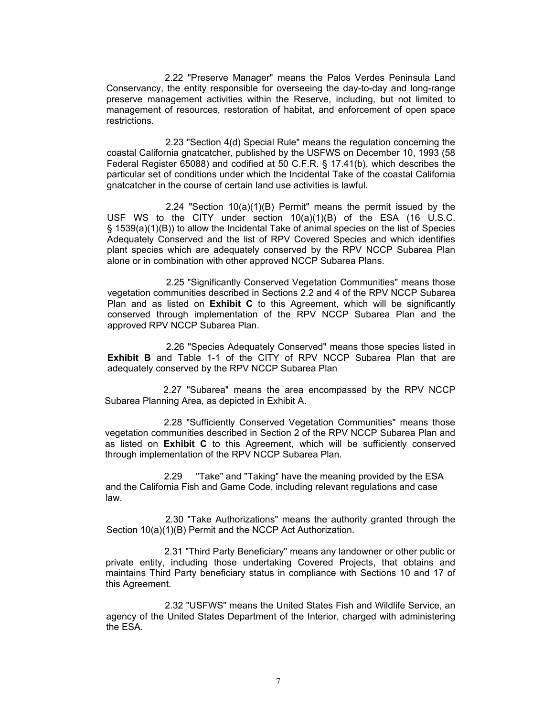2.22 "Preserve Manager" means the Palos Verdes Peninsula Land Conservancy, the entity responsible for overseeing the day-to-day and long-range preserve management activities within the Reserve, including, but not limited to management of resources, restoration of habitat, and enforcement of open space restrictions.

2.23 "Section 4(d) Special Rule" means the regulation concerning the coastal California gnatcatcher, published by the USFWS on December 10, 1993 (58 Federal Register 65088) and codified at 50 C.F.R. § 17.41(b), which describes the particular set of conditions under which the Incidental Take of the coastal California gnatcatcher in the course of certain land use activities is lawful.

2.24 "Section 10(a)(1)(B) Permit" means the permit issued by the USF WS to the CITY under section 10(a)(1)(B) of the ESA (16 U.S.C. § 1539(a)(1)(B)) to allow the Incidental Take of animal species on the list of Species Adequately Conserved and the list of RPV Covered Species and which identifies plant species which are adequately conserved by the RPV NCCP Subarea Plan alone or in combination with other approved NCCP Subarea Plans.

2.25 "Significantly Conserved Vegetation Communities" means those vegetation communities described in Sections 2.2 and 4 of the RPV NCCP Subarea Plan and as listed on **Exhibit C** to this Agreement, which will be significantly conserved through implementation of the RPV NCCP Subarea Plan and the approved RPV NCCP Subarea Plan.

2.26 "Species Adequately Conserved" means those species listed in **Exhibit B** and Table 1-1 of the CITY of RPV NCCP Subarea Plan that are adequately conserved by the RPV NCCP Subarea Plan

2.27 "Subarea" means the area encompassed by the RPV NCCP Subarea Planning Area, as depicted in Exhibit A.

2.28 "Sufficiently Conserved Vegetation Communities" means those vegetation communities described in Section 2 of the RPV NCCP Subarea Plan and as listed on **Exhibit C** to this Agreement, which will be sufficiently conserved through implementation of the RPV NCCP Subarea Plan.

2.29 "Take" and "Taking" have the meaning provided by the ESA and the California Fish and Game Code, including relevant regulations and case law.

2.30 "Take Authorizations" means the authority granted through the Section 10(a)(1)(B) Permit and the NCCP Act Authorization.

2.31 "Third Party Beneficiary" means any landowner or other public or private entity, including those undertaking Covered Projects, that obtains and maintains Third Party beneficiary status in compliance with Sections 10 and 17 of this Agreement.

2.32 "USFWS" means the United States Fish and Wildlife Service, an agency of the United States Department of the Interior, charged with administering the ESA.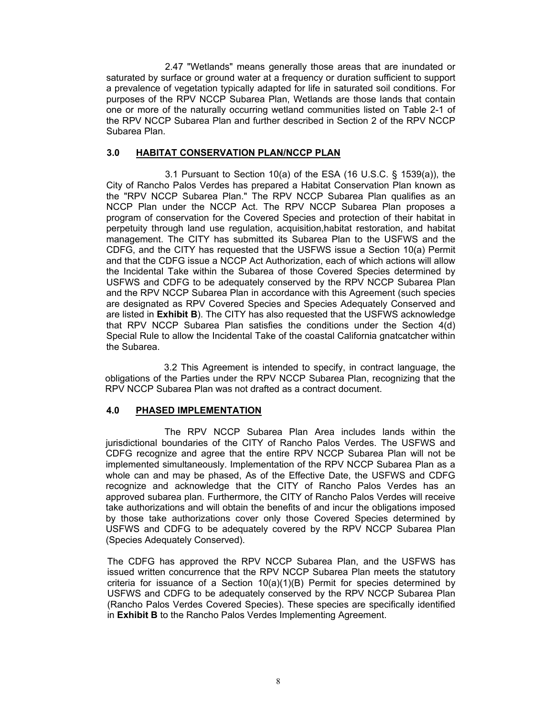2.47 "Wetlands" means generally those areas that are inundated or saturated by surface or ground water at a frequency or duration sufficient to support a prevalence of vegetation typically adapted for life in saturated soil conditions. For purposes of the RPV NCCP Subarea Plan, Wetlands are those lands that contain one or more of the naturally occurring wetland communities listed on Table 2-1 of the RPV NCCP Subarea Plan and further described in Section 2 of the RPV NCCP Subarea Plan.

#### **3.0 HABITAT CONSERVATION PLAN/NCCP PLAN**

3.1 Pursuant to Section 10(a) of the ESA (16 U.S.C. § 1539(a)), the City of Rancho Palos Verdes has prepared a Habitat Conservation Plan known as the "RPV NCCP Subarea Plan." The RPV NCCP Subarea Plan qualifies as an NCCP Plan under the NCCP Act. The RPV NCCP Subarea Plan proposes a program of conservation for the Covered Species and protection of their habitat in perpetuity through land use regulation, acquisition,habitat restoration, and habitat management. The CITY has submitted its Subarea Plan to the USFWS and the CDFG, and the CITY has requested that the USFWS issue a Section 10(a) Permit and that the CDFG issue a NCCP Act Authorization, each of which actions will allow the Incidental Take within the Subarea of those Covered Species determined by USFWS and CDFG to be adequately conserved by the RPV NCCP Subarea Plan and the RPV NCCP Subarea Plan in accordance with this Agreement (such species are designated as RPV Covered Species and Species Adequately Conserved and are listed in **Exhibit B**). The CITY has also requested that the USFWS acknowledge that RPV NCCP Subarea Plan satisfies the conditions under the Section 4(d) Special Rule to allow the Incidental Take of the coastal California gnatcatcher within the Subarea.

3.2 This Agreement is intended to specify, in contract language, the obligations of the Parties under the RPV NCCP Subarea Plan, recognizing that the RPV NCCP Subarea Plan was not drafted as a contract document.

#### **4.0 PHASED IMPLEMENTATION**

The RPV NCCP Subarea Plan Area includes lands within the jurisdictional boundaries of the CITY of Rancho Palos Verdes. The USFWS and CDFG recognize and agree that the entire RPV NCCP Subarea Plan will not be implemented simultaneously. Implementation of the RPV NCCP Subarea Plan as a whole can and may be phased, As of the Effective Date, the USFWS and CDFG recognize and acknowledge that the CITY of Rancho Palos Verdes has an approved subarea plan. Furthermore, the CITY of Rancho Palos Verdes will receive take authorizations and will obtain the benefits of and incur the obligations imposed by those take authorizations cover only those Covered Species determined by USFWS and CDFG to be adequately covered by the RPV NCCP Subarea Plan (Species Adequately Conserved).

The CDFG has approved the RPV NCCP Subarea Plan, and the USFWS has issued written concurrence that the RPV NCCP Subarea Plan meets the statutory criteria for issuance of a Section 10(a)(1)(B) Permit for species determined by USFWS and CDFG to be adequately conserved by the RPV NCCP Subarea Plan (Rancho Palos Verdes Covered Species). These species are specifically identified in **Exhibit B** to the Rancho Palos Verdes Implementing Agreement.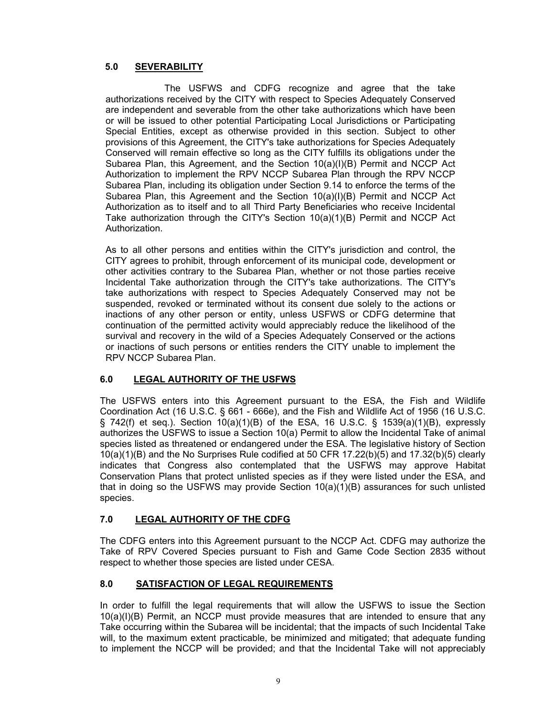## **5.0 SEVERABILITY**

The USFWS and CDFG recognize and agree that the take authorizations received by the CITY with respect to Species Adequately Conserved are independent and severable from the other take authorizations which have been or will be issued to other potential Participating Local Jurisdictions or Participating Special Entities, except as otherwise provided in this section. Subject to other provisions of this Agreement, the CITY's take authorizations for Species Adequately Conserved will remain effective so long as the CITY fulfills its obligations under the Subarea Plan, this Agreement, and the Section 10(a)(I)(B) Permit and NCCP Act Authorization to implement the RPV NCCP Subarea Plan through the RPV NCCP Subarea Plan, including its obligation under Section 9.14 to enforce the terms of the Subarea Plan, this Agreement and the Section 10(a)(I)(B) Permit and NCCP Act Authorization as to itself and to all Third Party Beneficiaries who receive Incidental Take authorization through the CITY's Section 10(a)(1)(B) Permit and NCCP Act Authorization.

As to all other persons and entities within the CITY's jurisdiction and control, the CITY agrees to prohibit, through enforcement of its municipal code, development or other activities contrary to the Subarea Plan, whether or not those parties receive Incidental Take authorization through the CITY's take authorizations. The CITY's take authorizations with respect to Species Adequately Conserved may not be suspended, revoked or terminated without its consent due solely to the actions or inactions of any other person or entity, unless USFWS or CDFG determine that continuation of the permitted activity would appreciably reduce the likelihood of the survival and recovery in the wild of a Species Adequately Conserved or the actions or inactions of such persons or entities renders the CITY unable to implement the RPV NCCP Subarea Plan.

## **6.0 LEGAL AUTHORITY OF THE USFWS**

The USFWS enters into this Agreement pursuant to the ESA, the Fish and Wildlife Coordination Act (16 U.S.C. § 661 - 666e), and the Fish and Wildlife Act of 1956 (16 U.S.C.  $\S$  742(f) et seq.). Section 10(a)(1)(B) of the ESA, 16 U.S.C. § 1539(a)(1)(B), expressly authorizes the USFWS to issue a Section 10(a) Permit to allow the Incidental Take of animal species listed as threatened or endangered under the ESA. The legislative history of Section 10(a)(1)(B) and the No Surprises Rule codified at 50 CFR 17.22(b)(5) and 17.32(b)(5) clearly indicates that Congress also contemplated that the USFWS may approve Habitat Conservation Plans that protect unlisted species as if they were listed under the ESA, and that in doing so the USFWS may provide Section  $10(a)(1)(B)$  assurances for such unlisted species.

## **7.0 LEGAL AUTHORITY OF THE CDFG**

The CDFG enters into this Agreement pursuant to the NCCP Act. CDFG may authorize the Take of RPV Covered Species pursuant to Fish and Game Code Section 2835 without respect to whether those species are listed under CESA.

## **8.0 SATISFACTION OF LEGAL REQUIREMENTS**

In order to fulfill the legal requirements that will allow the USFWS to issue the Section 10(a)(I)(B) Permit, an NCCP must provide measures that are intended to ensure that any Take occurring within the Subarea will be incidental; that the impacts of such Incidental Take will, to the maximum extent practicable, be minimized and mitigated; that adequate funding to implement the NCCP will be provided; and that the Incidental Take will not appreciably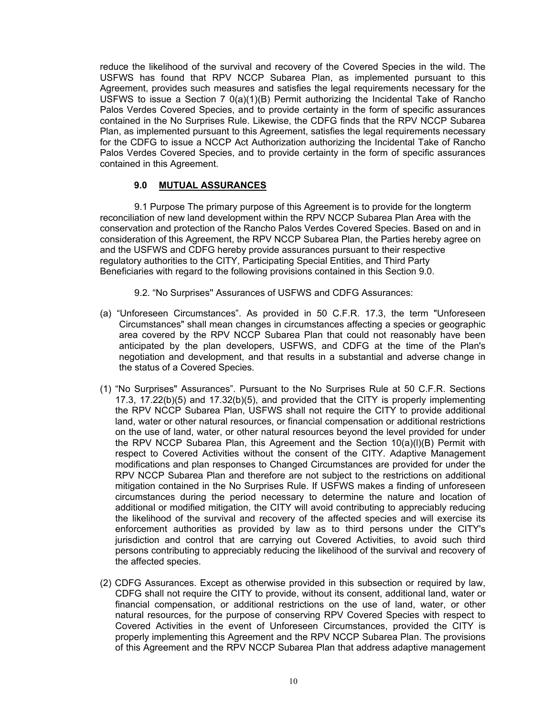reduce the likelihood of the survival and recovery of the Covered Species in the wild. The USFWS has found that RPV NCCP Subarea Plan, as implemented pursuant to this Agreement, provides such measures and satisfies the legal requirements necessary for the USFWS to issue a Section 7 0(a)(1)(B) Permit authorizing the Incidental Take of Rancho Palos Verdes Covered Species, and to provide certainty in the form of specific assurances contained in the No Surprises Rule. Likewise, the CDFG finds that the RPV NCCP Subarea Plan, as implemented pursuant to this Agreement, satisfies the legal requirements necessary for the CDFG to issue a NCCP Act Authorization authorizing the Incidental Take of Rancho Palos Verdes Covered Species, and to provide certainty in the form of specific assurances contained in this Agreement.

#### **9.0 MUTUAL ASSURANCES**

9.1 Purpose The primary purpose of this Agreement is to provide for the longterm reconciliation of new land development within the RPV NCCP Subarea Plan Area with the conservation and protection of the Rancho Palos Verdes Covered Species. Based on and in consideration of this Agreement, the RPV NCCP Subarea Plan, the Parties hereby agree on and the USFWS and CDFG hereby provide assurances pursuant to their respective regulatory authorities to the CITY, Participating Special Entities, and Third Party Beneficiaries with regard to the following provisions contained in this Section 9.0.

- 9.2. "No Surprises'' Assurances of USFWS and CDFG Assurances:
- (a) "Unforeseen Circumstances". As provided in 50 C.F.R. 17.3, the term "Unforeseen Circumstances" shall mean changes in circumstances affecting a species or geographic area covered by the RPV NCCP Subarea Plan that could not reasonably have been anticipated by the plan developers, USFWS, and CDFG at the time of the Plan's negotiation and development, and that results in a substantial and adverse change in the status of a Covered Species.
- (1) "No Surprises" Assurances". Pursuant to the No Surprises Rule at 50 C.F.R. Sections 17.3, 17.22(b)(5) and 17.32(b)(5), and provided that the CITY is properly implementing the RPV NCCP Subarea Plan, USFWS shall not require the CITY to provide additional land, water or other natural resources, or financial compensation or additional restrictions on the use of land, water, or other natural resources beyond the level provided for under the RPV NCCP Subarea Plan, this Agreement and the Section 10(a)(l)(B) Permit with respect to Covered Activities without the consent of the CITY. Adaptive Management modifications and plan responses to Changed Circumstances are provided for under the RPV NCCP Subarea Plan and therefore are not subject to the restrictions on additional mitigation contained in the No Surprises Rule. If USFWS makes a finding of unforeseen circumstances during the period necessary to determine the nature and location of additional or modified mitigation, the CITY will avoid contributing to appreciably reducing the likelihood of the survival and recovery of the affected species and will exercise its enforcement authorities as provided by law as to third persons under the CITY's jurisdiction and control that are carrying out Covered Activities, to avoid such third persons contributing to appreciably reducing the likelihood of the survival and recovery of the affected species.
- (2) CDFG Assurances. Except as otherwise provided in this subsection or required by law, CDFG shall not require the CITY to provide, without its consent, additional land, water or financial compensation, or additional restrictions on the use of land, water, or other natural resources, for the purpose of conserving RPV Covered Species with respect to Covered Activities in the event of Unforeseen Circumstances, provided the CITY is properly implementing this Agreement and the RPV NCCP Subarea Plan. The provisions of this Agreement and the RPV NCCP Subarea Plan that address adaptive management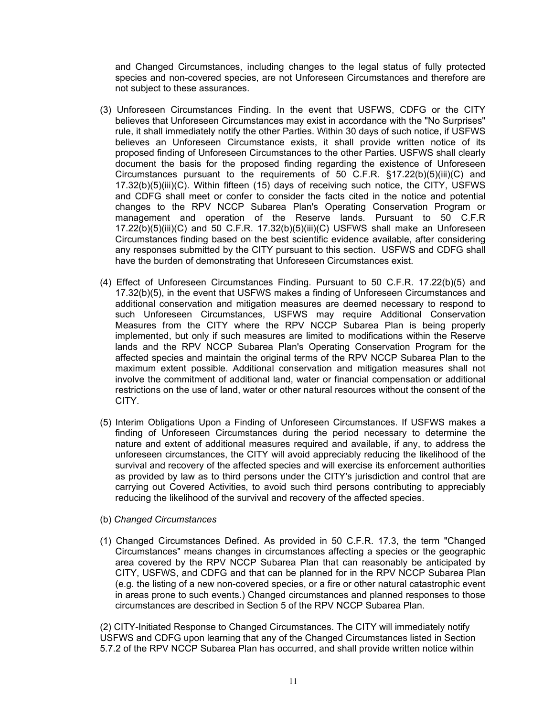and Changed Circumstances, including changes to the legal status of fully protected species and non-covered species, are not Unforeseen Circumstances and therefore are not subject to these assurances.

- (3) Unforeseen Circumstances Finding. In the event that USFWS, CDFG or the CITY believes that Unforeseen Circumstances may exist in accordance with the "No Surprises" rule, it shall immediately notify the other Parties. Within 30 days of such notice, if USFWS believes an Unforeseen Circumstance exists, it shall provide written notice of its proposed finding of Unforeseen Circumstances to the other Parties. USFWS shall clearly document the basis for the proposed finding regarding the existence of Unforeseen Circumstances pursuant to the requirements of 50 C.F.R. §17.22(b)(5)(iii)(C) and 17.32(b)(5)(iii)(C). Within fifteen (15) days of receiving such notice, the CITY, USFWS and CDFG shall meet or confer to consider the facts cited in the notice and potential changes to the RPV NCCP Subarea Plan's Operating Conservation Program or management and operation of the Reserve lands. Pursuant to 50 C.F.R 17.22(b)(5)(iii)(C) and 50 C.F.R. 17.32(b)(5)(iii)(C) USFWS shall make an Unforeseen Circumstances finding based on the best scientific evidence available, after considering any responses submitted by the CITY pursuant to this section. USFWS and CDFG shall have the burden of demonstrating that Unforeseen Circumstances exist.
- (4) Effect of Unforeseen Circumstances Finding. Pursuant to 50 C.F.R. 17.22(b)(5) and 17.32(b)(5), in the event that USFWS makes a finding of Unforeseen Circumstances and additional conservation and mitigation measures are deemed necessary to respond to such Unforeseen Circumstances, USFWS may require Additional Conservation Measures from the CITY where the RPV NCCP Subarea Plan is being properly implemented, but only if such measures are limited to modifications within the Reserve lands and the RPV NCCP Subarea Plan's Operating Conservation Program for the affected species and maintain the original terms of the RPV NCCP Subarea Plan to the maximum extent possible. Additional conservation and mitigation measures shall not involve the commitment of additional land, water or financial compensation or additional restrictions on the use of land, water or other natural resources without the consent of the CITY.
- (5) Interim Obligations Upon a Finding of Unforeseen Circumstances. If USFWS makes a finding of Unforeseen Circumstances during the period necessary to determine the nature and extent of additional measures required and available, if any, to address the unforeseen circumstances, the CITY will avoid appreciably reducing the likelihood of the survival and recovery of the affected species and will exercise its enforcement authorities as provided by law as to third persons under the CITY's jurisdiction and control that are carrying out Covered Activities, to avoid such third persons contributing to appreciably reducing the likelihood of the survival and recovery of the affected species.
- (b) *Changed Circumstances*
- (1) Changed Circumstances Defined. As provided in 50 C.F.R. 17.3, the term "Changed Circumstances" means changes in circumstances affecting a species or the geographic area covered by the RPV NCCP Subarea Plan that can reasonably be anticipated by CITY, USFWS, and CDFG and that can be planned for in the RPV NCCP Subarea Plan (e.g. the listing of a new non-covered species, or a fire or other natural catastrophic event in areas prone to such events.) Changed circumstances and planned responses to those circumstances are described in Section 5 of the RPV NCCP Subarea Plan.

(2) CITY-Initiated Response to Changed Circumstances. The CITY will immediately notify USFWS and CDFG upon learning that any of the Changed Circumstances listed in Section 5.7.2 of the RPV NCCP Subarea Plan has occurred, and shall provide written notice within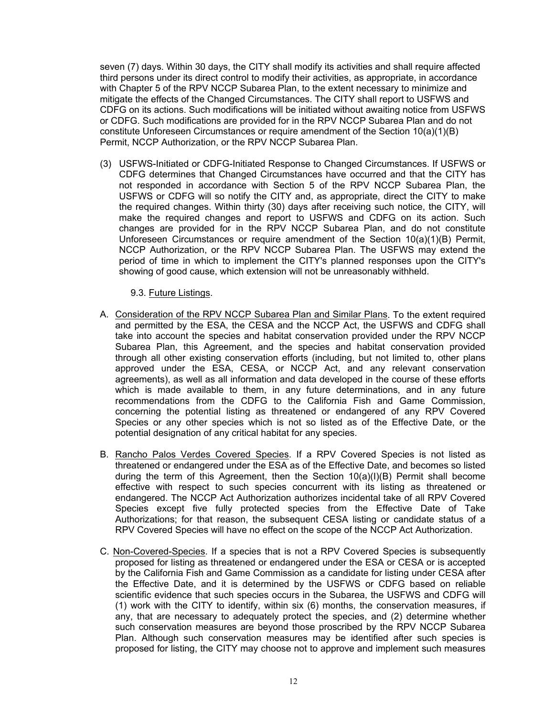seven (7) days. Within 30 days, the CITY shall modify its activities and shall require affected third persons under its direct control to modify their activities, as appropriate, in accordance with Chapter 5 of the RPV NCCP Subarea Plan, to the extent necessary to minimize and mitigate the effects of the Changed Circumstances. The CITY shall report to USFWS and CDFG on its actions. Such modifications will be initiated without awaiting notice from USFWS or CDFG. Such modifications are provided for in the RPV NCCP Subarea Plan and do not constitute Unforeseen Circumstances or require amendment of the Section 10(a)(1)(B) Permit, NCCP Authorization, or the RPV NCCP Subarea Plan.

- (3) USFWS-Initiated or CDFG-Initiated Response to Changed Circumstances. If USFWS or CDFG determines that Changed Circumstances have occurred and that the CITY has not responded in accordance with Section 5 of the RPV NCCP Subarea Plan, the USFWS or CDFG will so notify the CITY and, as appropriate, direct the CITY to make the required changes. Within thirty (30) days after receiving such notice, the CITY, will make the required changes and report to USFWS and CDFG on its action. Such changes are provided for in the RPV NCCP Subarea Plan, and do not constitute Unforeseen Circumstances or require amendment of the Section 10(a)(1)(B) Permit, NCCP Authorization, or the RPV NCCP Subarea Plan. The USFWS may extend the period of time in which to implement the CITY's planned responses upon the CITY's showing of good cause, which extension will not be unreasonably withheld.
	- 9.3. Future Listings.
- A. Consideration of the RPV NCCP Subarea Plan and Similar Plans. To the extent required and permitted by the ESA, the CESA and the NCCP Act, the USFWS and CDFG shall take into account the species and habitat conservation provided under the RPV NCCP Subarea Plan, this Agreement, and the species and habitat conservation provided through all other existing conservation efforts (including, but not limited to, other plans approved under the ESA, CESA, or NCCP Act, and any relevant conservation agreements), as well as all information and data developed in the course of these efforts which is made available to them, in any future determinations, and in any future recommendations from the CDFG to the California Fish and Game Commission, concerning the potential listing as threatened or endangered of any RPV Covered Species or any other species which is not so listed as of the Effective Date, or the potential designation of any critical habitat for any species.
- B. Rancho Palos Verdes Covered Species. If a RPV Covered Species is not listed as threatened or endangered under the ESA as of the Effective Date, and becomes so listed during the term of this Agreement, then the Section  $10(a)(I)(B)$  Permit shall become effective with respect to such species concurrent with its listing as threatened or endangered. The NCCP Act Authorization authorizes incidental take of all RPV Covered Species except five fully protected species from the Effective Date of Take Authorizations; for that reason, the subsequent CESA listing or candidate status of a RPV Covered Species will have no effect on the scope of the NCCP Act Authorization.
- C. Non-Covered-Species. If a species that is not a RPV Covered Species is subsequently proposed for listing as threatened or endangered under the ESA or CESA or is accepted by the California Fish and Game Commission as a candidate for listing under CESA after the Effective Date, and it is determined by the USFWS or CDFG based on reliable scientific evidence that such species occurs in the Subarea, the USFWS and CDFG will (1) work with the CITY to identify, within six (6) months, the conservation measures, if any, that are necessary to adequately protect the species, and (2) determine whether such conservation measures are beyond those proscribed by the RPV NCCP Subarea Plan. Although such conservation measures may be identified after such species is proposed for listing, the CITY may choose not to approve and implement such measures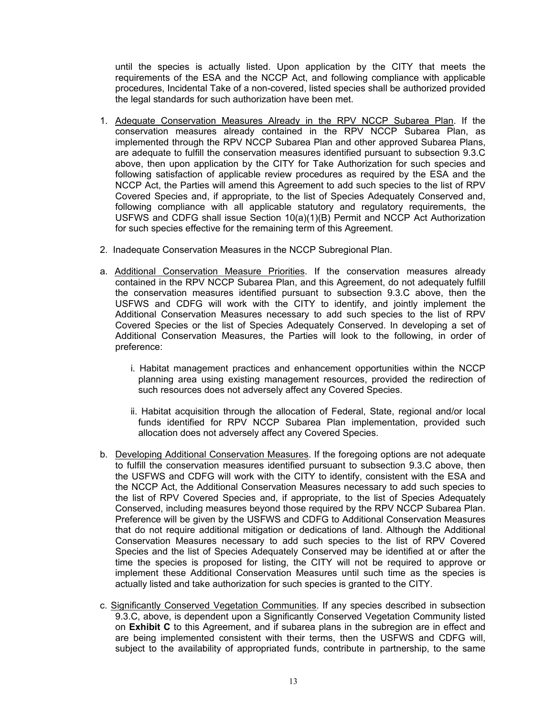until the species is actually listed. Upon application by the CITY that meets the requirements of the ESA and the NCCP Act, and following compliance with applicable procedures, Incidental Take of a non-covered, listed species shall be authorized provided the legal standards for such authorization have been met.

- 1. Adequate Conservation Measures Already in the RPV NCCP Subarea Plan. If the conservation measures already contained in the RPV NCCP Subarea Plan, as implemented through the RPV NCCP Subarea Plan and other approved Subarea Plans, are adequate to fulfill the conservation measures identified pursuant to subsection 9.3.C above, then upon application by the CITY for Take Authorization for such species and following satisfaction of applicable review procedures as required by the ESA and the NCCP Act, the Parties will amend this Agreement to add such species to the list of RPV Covered Species and, if appropriate, to the list of Species Adequately Conserved and, following compliance with all applicable statutory and regulatory requirements, the USFWS and CDFG shall issue Section 10(a)(1)(B) Permit and NCCP Act Authorization for such species effective for the remaining term of this Agreement.
- 2. Inadequate Conservation Measures in the NCCP Subregional Plan.
- a. Additional Conservation Measure Priorities. If the conservation measures already contained in the RPV NCCP Subarea Plan, and this Agreement, do not adequately fulfill the conservation measures identified pursuant to subsection 9.3.C above, then the USFWS and CDFG will work with the CITY to identify, and jointly implement the Additional Conservation Measures necessary to add such species to the list of RPV Covered Species or the list of Species Adequately Conserved. In developing a set of Additional Conservation Measures, the Parties will look to the following, in order of preference:
	- i. Habitat management practices and enhancement opportunities within the NCCP planning area using existing management resources, provided the redirection of such resources does not adversely affect any Covered Species.
	- ii. Habitat acquisition through the allocation of Federal, State, regional and/or local funds identified for RPV NCCP Subarea Plan implementation, provided such allocation does not adversely affect any Covered Species.
- b. Developing Additional Conservation Measures. If the foregoing options are not adequate to fulfill the conservation measures identified pursuant to subsection 9.3.C above, then the USFWS and CDFG will work with the CITY to identify, consistent with the ESA and the NCCP Act, the Additional Conservation Measures necessary to add such species to the list of RPV Covered Species and, if appropriate, to the list of Species Adequately Conserved, including measures beyond those required by the RPV NCCP Subarea Plan. Preference will be given by the USFWS and CDFG to Additional Conservation Measures that do not require additional mitigation or dedications of land. Although the Additional Conservation Measures necessary to add such species to the list of RPV Covered Species and the list of Species Adequately Conserved may be identified at or after the time the species is proposed for listing, the CITY will not be required to approve or implement these Additional Conservation Measures until such time as the species is actually listed and take authorization for such species is granted to the CITY.
- c. Significantly Conserved Vegetation Communities. If any species described in subsection 9.3.C, above, is dependent upon a Significantly Conserved Vegetation Community listed on **Exhibit C** to this Agreement, and if subarea plans in the subregion are in effect and are being implemented consistent with their terms, then the USFWS and CDFG will, subject to the availability of appropriated funds, contribute in partnership, to the same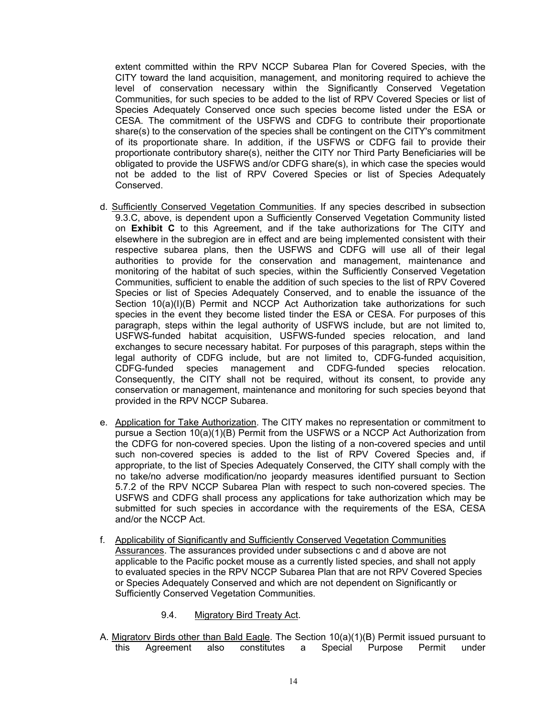extent committed within the RPV NCCP Subarea Plan for Covered Species, with the CITY toward the land acquisition, management, and monitoring required to achieve the level of conservation necessary within the Significantly Conserved Vegetation Communities, for such species to be added to the list of RPV Covered Species or list of Species Adequately Conserved once such species become listed under the ESA or CESA. The commitment of the USFWS and CDFG to contribute their proportionate share(s) to the conservation of the species shall be contingent on the CITY's commitment of its proportionate share. In addition, if the USFWS or CDFG fail to provide their proportionate contributory share(s), neither the CITY nor Third Party Beneficiaries will be obligated to provide the USFWS and/or CDFG share(s), in which case the species would not be added to the list of RPV Covered Species or list of Species Adequately Conserved.

- d. Sufficiently Conserved Vegetation Communities. If any species described in subsection 9.3.C, above, is dependent upon a Sufficiently Conserved Vegetation Community listed on **Exhibit C** to this Agreement, and if the take authorizations for The CITY and elsewhere in the subregion are in effect and are being implemented consistent with their respective subarea plans, then the USFWS and CDFG will use all of their legal authorities to provide for the conservation and management, maintenance and monitoring of the habitat of such species, within the Sufficiently Conserved Vegetation Communities, sufficient to enable the addition of such species to the list of RPV Covered Species or list of Species Adequately Conserved, and to enable the issuance of the Section 10(a)(I)(B) Permit and NCCP Act Authorization take authorizations for such species in the event they become listed tinder the ESA or CESA. For purposes of this paragraph, steps within the legal authority of USFWS include, but are not limited to, USFWS-funded habitat acquisition, USFWS-funded species relocation, and land exchanges to secure necessary habitat. For purposes of this paragraph, steps within the legal authority of CDFG include, but are not limited to, CDFG-funded acquisition, CDFG-funded species management and CDFG-funded species relocation. Consequently, the CITY shall not be required, without its consent, to provide any conservation or management, maintenance and monitoring for such species beyond that provided in the RPV NCCP Subarea.
- e. Application for Take Authorization. The CITY makes no representation or commitment to pursue a Section 10(a)(1)(B) Permit from the USFWS or a NCCP Act Authorization from the CDFG for non-covered species. Upon the listing of a non-covered species and until such non-covered species is added to the list of RPV Covered Species and, if appropriate, to the list of Species Adequately Conserved, the CITY shall comply with the no take/no adverse modification/no jeopardy measures identified pursuant to Section 5.7.2 of the RPV NCCP Subarea Plan with respect to such non-covered species. The USFWS and CDFG shall process any applications for take authorization which may be submitted for such species in accordance with the requirements of the ESA, CESA and/or the NCCP Act.
- f. Applicability of Significantly and Sufficiently Conserved Vegetation Communities Assurances. The assurances provided under subsections c and d above are not applicable to the Pacific pocket mouse as a currently listed species, and shall not apply to evaluated species in the RPV NCCP Subarea Plan that are not RPV Covered Species or Species Adequately Conserved and which are not dependent on Significantly or Sufficiently Conserved Vegetation Communities.

#### 9.4. Migratory Bird Treaty Act.

A. Migratory Birds other than Bald Eagle. The Section 10(a)(1)(B) Permit issued pursuant to this Agreement also constitutes a Special Purpose Permit under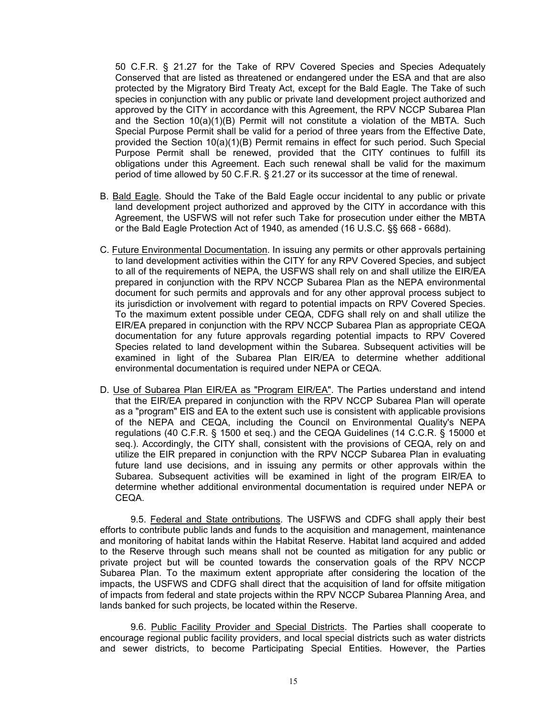50 C.F.R. § 21.27 for the Take of RPV Covered Species and Species Adequately Conserved that are listed as threatened or endangered under the ESA and that are also protected by the Migratory Bird Treaty Act, except for the Bald Eagle. The Take of such species in conjunction with any public or private land development project authorized and approved by the CITY in accordance with this Agreement, the RPV NCCP Subarea Plan and the Section  $10(a)(1)(B)$  Permit will not constitute a violation of the MBTA. Such Special Purpose Permit shall be valid for a period of three years from the Effective Date, provided the Section 10(a)(1)(B) Permit remains in effect for such period. Such Special Purpose Permit shall be renewed, provided that the CITY continues to fulfill its obligations under this Agreement. Each such renewal shall be valid for the maximum period of time allowed by 50 C.F.R. § 21.27 or its successor at the time of renewal.

- B. Bald Eagle. Should the Take of the Bald Eagle occur incidental to any public or private land development project authorized and approved by the CITY in accordance with this Agreement, the USFWS will not refer such Take for prosecution under either the MBTA or the Bald Eagle Protection Act of 1940, as amended (16 U.S.C. §§ 668 - 668d).
- C. Future Environmental Documentation. In issuing any permits or other approvals pertaining to land development activities within the CITY for any RPV Covered Species, and subject to all of the requirements of NEPA, the USFWS shall rely on and shall utilize the EIR/EA prepared in conjunction with the RPV NCCP Subarea Plan as the NEPA environmental document for such permits and approvals and for any other approval process subject to its jurisdiction or involvement with regard to potential impacts on RPV Covered Species. To the maximum extent possible under CEQA, CDFG shall rely on and shall utilize the EIR/EA prepared in conjunction with the RPV NCCP Subarea Plan as appropriate CEQA documentation for any future approvals regarding potential impacts to RPV Covered Species related to land development within the Subarea. Subsequent activities will be examined in light of the Subarea Plan EIR/EA to determine whether additional environmental documentation is required under NEPA or CEQA.
- D. Use of Subarea Plan EIR/EA as "Program EIR/EA". The Parties understand and intend that the EIR/EA prepared in conjunction with the RPV NCCP Subarea Plan will operate as a "program" EIS and EA to the extent such use is consistent with applicable provisions of the NEPA and CEQA, including the Council on Environmental Quality's NEPA regulations (40 C.F.R. § 1500 et seq.) and the CEQA Guidelines (14 C.C.R. § 15000 et seq.). Accordingly, the CITY shall, consistent with the provisions of CEQA, rely on and utilize the EIR prepared in conjunction with the RPV NCCP Subarea Plan in evaluating future land use decisions, and in issuing any permits or other approvals within the Subarea. Subsequent activities will be examined in light of the program EIR/EA to determine whether additional environmental documentation is required under NEPA or CEQA.

9.5. Federal and State ontributions. The USFWS and CDFG shall apply their best efforts to contribute public lands and funds to the acquisition and management, maintenance and monitoring of habitat lands within the Habitat Reserve. Habitat land acquired and added to the Reserve through such means shall not be counted as mitigation for any public or private project but will be counted towards the conservation goals of the RPV NCCP Subarea Plan. To the maximum extent appropriate after considering the location of the impacts, the USFWS and CDFG shall direct that the acquisition of land for offsite mitigation of impacts from federal and state projects within the RPV NCCP Subarea Planning Area, and lands banked for such projects, be located within the Reserve.

9.6. Public Facility Provider and Special Districts. The Parties shall cooperate to encourage regional public facility providers, and local special districts such as water districts and sewer districts, to become Participating Special Entities. However, the Parties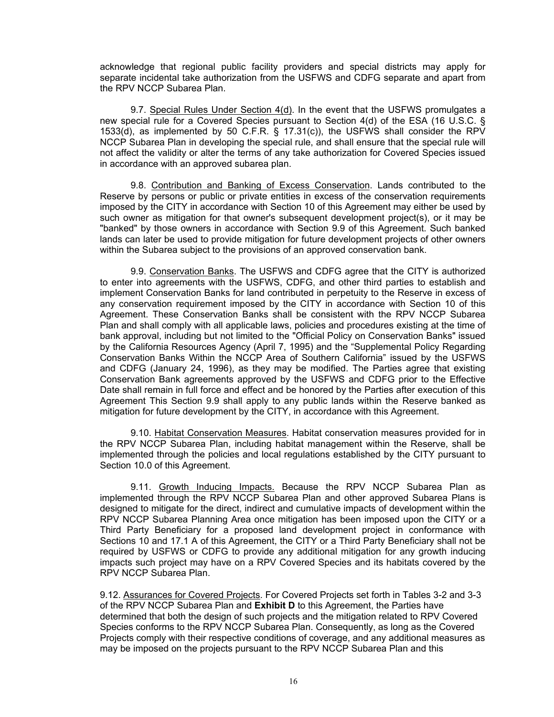acknowledge that regional public facility providers and special districts may apply for separate incidental take authorization from the USFWS and CDFG separate and apart from the RPV NCCP Subarea Plan.

9.7. Special Rules Under Section 4(d). In the event that the USFWS promulgates a new special rule for a Covered Species pursuant to Section 4(d) of the ESA (16 U.S.C. § 1533(d), as implemented by 50 C.F.R. § 17.31(c)), the USFWS shall consider the RPV NCCP Subarea Plan in developing the special rule, and shall ensure that the special rule will not affect the validity or alter the terms of any take authorization for Covered Species issued in accordance with an approved subarea plan.

9.8. Contribution and Banking of Excess Conservation. Lands contributed to the Reserve by persons or public or private entities in excess of the conservation requirements imposed by the CITY in accordance with Section 10 of this Agreement may either be used by such owner as mitigation for that owner's subsequent development project(s), or it may be "banked" by those owners in accordance with Section 9.9 of this Agreement. Such banked lands can later be used to provide mitigation for future development projects of other owners within the Subarea subject to the provisions of an approved conservation bank.

9.9. Conservation Banks. The USFWS and CDFG agree that the CITY is authorized to enter into agreements with the USFWS, CDFG, and other third parties to establish and implement Conservation Banks for land contributed in perpetuity to the Reserve in excess of any conservation requirement imposed by the CITY in accordance with Section 10 of this Agreement. These Conservation Banks shall be consistent with the RPV NCCP Subarea Plan and shall comply with all applicable laws, policies and procedures existing at the time of bank approval, including but not limited to the "Official Policy on Conservation Banks" issued by the California Resources Agency (April 7, 1995) and the "Supplemental Policy Regarding Conservation Banks Within the NCCP Area of Southern California" issued by the USFWS and CDFG (January 24, 1996), as they may be modified. The Parties agree that existing Conservation Bank agreements approved by the USFWS and CDFG prior to the Effective Date shall remain in full force and effect and be honored by the Parties after execution of this Agreement This Section 9.9 shall apply to any public lands within the Reserve banked as mitigation for future development by the CITY, in accordance with this Agreement.

9.10. Habitat Conservation Measures. Habitat conservation measures provided for in the RPV NCCP Subarea Plan, including habitat management within the Reserve, shall be implemented through the policies and local regulations established by the CITY pursuant to Section 10.0 of this Agreement.

9.11. Growth Inducing Impacts. Because the RPV NCCP Subarea Plan as implemented through the RPV NCCP Subarea Plan and other approved Subarea Plans is designed to mitigate for the direct, indirect and cumulative impacts of development within the RPV NCCP Subarea Planning Area once mitigation has been imposed upon the CITY or a Third Party Beneficiary for a proposed land development project in conformance with Sections 10 and 17.1 A of this Agreement, the CITY or a Third Party Beneficiary shall not be required by USFWS or CDFG to provide any additional mitigation for any growth inducing impacts such project may have on a RPV Covered Species and its habitats covered by the RPV NCCP Subarea Plan.

9.12. Assurances for Covered Projects. For Covered Projects set forth in Tables 3-2 and 3-3 of the RPV NCCP Subarea Plan and **Exhibit D** to this Agreement, the Parties have determined that both the design of such projects and the mitigation related to RPV Covered Species conforms to the RPV NCCP Subarea Plan. Consequently, as long as the Covered Projects comply with their respective conditions of coverage, and any additional measures as may be imposed on the projects pursuant to the RPV NCCP Subarea Plan and this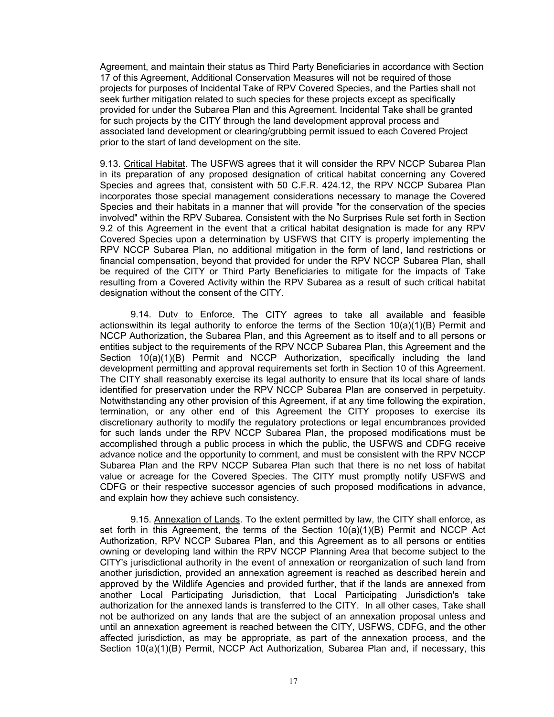Agreement, and maintain their status as Third Party Beneficiaries in accordance with Section 17 of this Agreement, Additional Conservation Measures will not be required of those projects for purposes of Incidental Take of RPV Covered Species, and the Parties shall not seek further mitigation related to such species for these projects except as specifically provided for under the Subarea Plan and this Agreement. Incidental Take shall be granted for such projects by the CITY through the land development approval process and associated land development or clearing/grubbing permit issued to each Covered Project prior to the start of land development on the site.

9.13. Critical Habitat. The USFWS agrees that it will consider the RPV NCCP Subarea Plan in its preparation of any proposed designation of critical habitat concerning any Covered Species and agrees that, consistent with 50 C.F.R. 424.12, the RPV NCCP Subarea Plan incorporates those special management considerations necessary to manage the Covered Species and their habitats in a manner that will provide "for the conservation of the species involved" within the RPV Subarea. Consistent with the No Surprises Rule set forth in Section 9.2 of this Agreement in the event that a critical habitat designation is made for any RPV Covered Species upon a determination by USFWS that CITY is properly implementing the RPV NCCP Subarea Plan, no additional mitigation in the form of land, land restrictions or financial compensation, beyond that provided for under the RPV NCCP Subarea Plan, shall be required of the CITY or Third Party Beneficiaries to mitigate for the impacts of Take resulting from a Covered Activity within the RPV Subarea as a result of such critical habitat designation without the consent of the CITY.

9.14. Dutv to Enforce. The CITY agrees to take all available and feasible actionswithin its legal authority to enforce the terms of the Section  $10(a)(1)(B)$  Permit and NCCP Authorization, the Subarea Plan, and this Agreement as to itself and to all persons or entities subject to the requirements of the RPV NCCP Subarea Plan, this Agreement and the Section 10(a)(1)(B) Permit and NCCP Authorization, specifically including the land development permitting and approval requirements set forth in Section 10 of this Agreement. The CITY shall reasonably exercise its legal authority to ensure that its local share of lands identified for preservation under the RPV NCCP Subarea Plan are conserved in perpetuity. Notwithstanding any other provision of this Agreement, if at any time following the expiration, termination, or any other end of this Agreement the CITY proposes to exercise its discretionary authority to modify the regulatory protections or legal encumbrances provided for such lands under the RPV NCCP Subarea Plan, the proposed modifications must be accomplished through a public process in which the public, the USFWS and CDFG receive advance notice and the opportunity to comment, and must be consistent with the RPV NCCP Subarea Plan and the RPV NCCP Subarea Plan such that there is no net loss of habitat value or acreage for the Covered Species. The CITY must promptly notify USFWS and CDFG or their respective successor agencies of such proposed modifications in advance, and explain how they achieve such consistency.

9.15. Annexation of Lands. To the extent permitted by law, the CITY shall enforce, as set forth in this Agreement, the terms of the Section 10(a)(1)(B) Permit and NCCP Act Authorization, RPV NCCP Subarea Plan, and this Agreement as to all persons or entities owning or developing land within the RPV NCCP Planning Area that become subject to the CITY's jurisdictional authority in the event of annexation or reorganization of such land from another jurisdiction, provided an annexation agreement is reached as described herein and approved by the Wildlife Agencies and provided further, that if the lands are annexed from another Local Participating Jurisdiction, that Local Participating Jurisdiction's take authorization for the annexed lands is transferred to the CITY. In all other cases, Take shall not be authorized on any lands that are the subject of an annexation proposal unless and until an annexation agreement is reached between the CITY, USFWS, CDFG, and the other affected jurisdiction, as may be appropriate, as part of the annexation process, and the Section 10(a)(1)(B) Permit, NCCP Act Authorization, Subarea Plan and, if necessary, this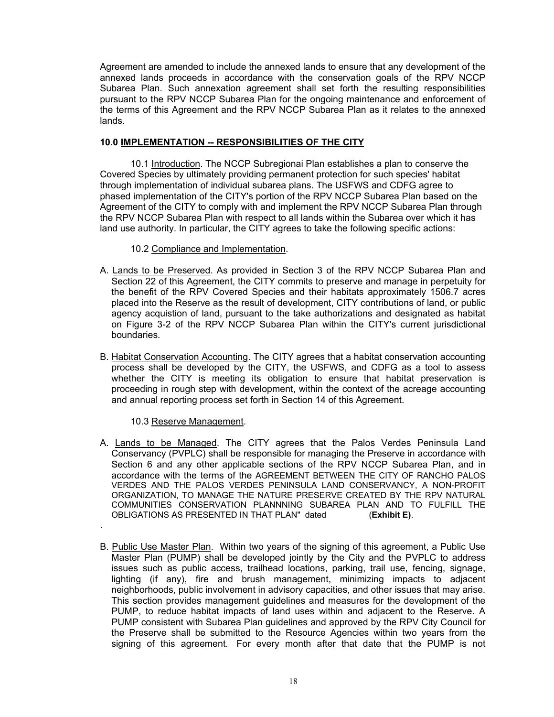Agreement are amended to include the annexed lands to ensure that any development of the annexed lands proceeds in accordance with the conservation goals of the RPV NCCP Subarea Plan. Such annexation agreement shall set forth the resulting responsibilities pursuant to the RPV NCCP Subarea Plan for the ongoing maintenance and enforcement of the terms of this Agreement and the RPV NCCP Subarea Plan as it relates to the annexed lands.

#### **10.0 IMPLEMENTATION -- RESPONSIBILITIES OF THE CITY**

10.1 Introduction. The NCCP Subregionai Plan establishes a plan to conserve the Covered Species by ultimately providing permanent protection for such species' habitat through implementation of individual subarea plans. The USFWS and CDFG agree to phased implementation of the CITY's portion of the RPV NCCP Subarea Plan based on the Agreement of the CITY to comply with and implement the RPV NCCP Subarea Plan through the RPV NCCP Subarea Plan with respect to all lands within the Subarea over which it has land use authority. In particular, the CITY agrees to take the following specific actions:

#### 10.2 Compliance and Implementation.

- A. Lands to be Preserved. As provided in Section 3 of the RPV NCCP Subarea Plan and Section 22 of this Agreement, the CITY commits to preserve and manage in perpetuity for the benefit of the RPV Covered Species and their habitats approximately 1506.7 acres placed into the Reserve as the result of development, CITY contributions of land, or public agency acquistion of land, pursuant to the take authorizations and designated as habitat on Figure 3-2 of the RPV NCCP Subarea Plan within the CITY's current jurisdictional boundaries.
- B. Habitat Conservation Accounting. The CITY agrees that a habitat conservation accounting process shall be developed by the CITY, the USFWS, and CDFG as a tool to assess whether the CITY is meeting its obligation to ensure that habitat preservation is proceeding in rough step with development, within the context of the acreage accounting and annual reporting process set forth in Section 14 of this Agreement.

#### 10.3 Reserve Management.

.

- A. Lands to be Managed. The CITY agrees that the Palos Verdes Peninsula Land Conservancy (PVPLC) shall be responsible for managing the Preserve in accordance with Section 6 and any other applicable sections of the RPV NCCP Subarea Plan, and in accordance with the terms of the AGREEMENT BETWEEN THE CITY OF RANCHO PALOS VERDES AND THE PALOS VERDES PENINSULA LAND CONSERVANCY, A NON-PROFIT ORGANIZATION, TO MANAGE THE NATURE PRESERVE CREATED BY THE RPV NATURAL COMMUNITIES CONSERVATION PLANNNING SUBAREA PLAN AND TO FULFILL THE OBLIGATIONS AS PRESENTED IN THAT PLAN" dated (**Exhibit E)**.
- B. Public Use Master Plan. Within two years of the signing of this agreement, a Public Use Master Plan (PUMP) shall be developed jointly by the City and the PVPLC to address issues such as public access, trailhead locations, parking, trail use, fencing, signage, lighting (if any), fire and brush management, minimizing impacts to adjacent neighborhoods, public involvement in advisory capacities, and other issues that may arise. This section provides management guidelines and measures for the development of the PUMP, to reduce habitat impacts of land uses within and adjacent to the Reserve. A PUMP consistent with Subarea Plan guidelines and approved by the RPV City Council for the Preserve shall be submitted to the Resource Agencies within two years from the signing of this agreement. For every month after that date that the PUMP is not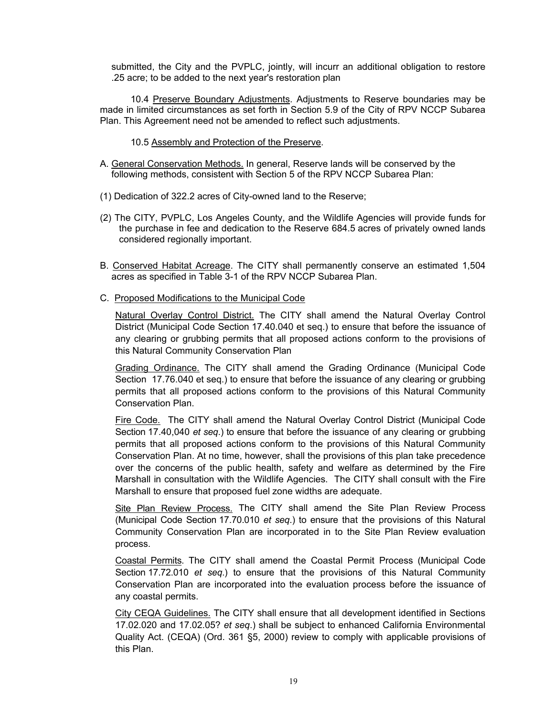submitted, the City and the PVPLC, jointly, will incurr an additional obligation to restore .25 acre; to be added to the next year's restoration plan

10.4 Preserve Boundary Adjustments. Adjustments to Reserve boundaries may be made in limited circumstances as set forth in Section 5.9 of the City of RPV NCCP Subarea Plan. This Agreement need not be amended to reflect such adjustments.

#### 10.5 Assembly and Protection of the Preserve.

- A. General Conservation Methods. In general, Reserve lands will be conserved by the following methods, consistent with Section 5 of the RPV NCCP Subarea Plan:
- (1) Dedication of 322.2 acres of City-owned land to the Reserve;
- (2) The CITY, PVPLC, Los Angeles County, and the Wildlife Agencies will provide funds for the purchase in fee and dedication to the Reserve 684.5 acres of privately owned lands considered regionally important.
- B. Conserved Habitat Acreage. The CITY shall permanently conserve an estimated 1,504 acres as specified in Table 3-1 of the RPV NCCP Subarea Plan.
- C. Proposed Modifications to the Municipal Code

Natural Overlay Control District. The CITY shall amend the Natural Overlay Control District (Municipal Code Section 17.40.040 et seq.) to ensure that before the issuance of any clearing or grubbing permits that all proposed actions conform to the provisions of this Natural Community Conservation Plan

Grading Ordinance. The CITY shall amend the Grading Ordinance (Municipal Code Section 17.76.040 et seq.) to ensure that before the issuance of any clearing or grubbing permits that all proposed actions conform to the provisions of this Natural Community Conservation Plan.

Fire Code. The CITY shall amend the Natural Overlay Control District (Municipal Code Section 17.40,040 *et seq*.) to ensure that before the issuance of any clearing or grubbing permits that all proposed actions conform to the provisions of this Natural Community Conservation Plan. At no time, however, shall the provisions of this plan take precedence over the concerns of the public health, safety and welfare as determined by the Fire Marshall in consultation with the Wildlife Agencies. The CITY shall consult with the Fire Marshall to ensure that proposed fuel zone widths are adequate.

Site Plan Review Process. The CITY shall amend the Site Plan Review Process (Municipal Code Section 17.70.010 *et seq*.) to ensure that the provisions of this Natural Community Conservation Plan are incorporated in to the Site Plan Review evaluation process.

Coastal Permits. The CITY shall amend the Coastal Permit Process (Municipal Code Section 17.72.010 *et seq*.) to ensure that the provisions of this Natural Community Conservation Plan are incorporated into the evaluation process before the issuance of any coastal permits.

City CEQA Guidelines. The CITY shall ensure that all development identified in Sections 17.02.020 and 17.02.05? *et seq*.) shall be subject to enhanced California Environmental Quality Act. (CEQA) (Ord. 361 §5, 2000) review to comply with applicable provisions of this Plan.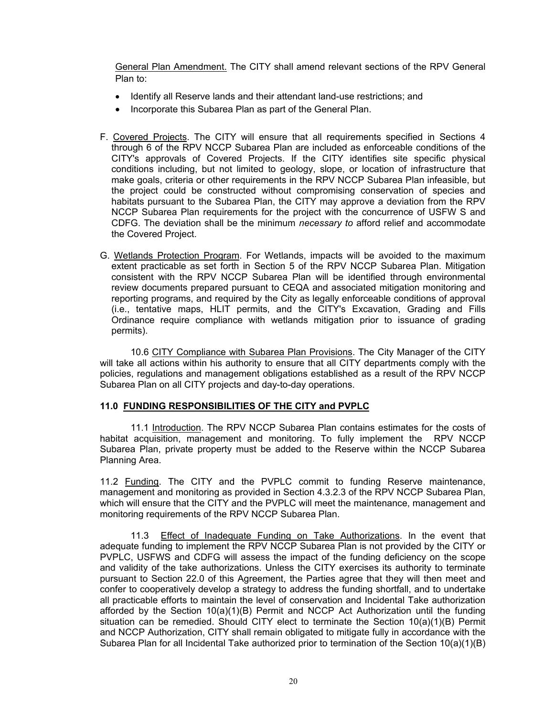General Plan Amendment. The CITY shall amend relevant sections of the RPV General Plan to:

- Identify all Reserve lands and their attendant land-use restrictions; and
- Incorporate this Subarea Plan as part of the General Plan.
- F. Covered Projects. The CITY will ensure that all requirements specified in Sections 4 through 6 of the RPV NCCP Subarea Plan are included as enforceable conditions of the CITY's approvals of Covered Projects. If the CITY identifies site specific physical conditions including, but not limited to geology, slope, or location of infrastructure that make goals, criteria or other requirements in the RPV NCCP Subarea Plan infeasible, but the project could be constructed without compromising conservation of species and habitats pursuant to the Subarea Plan, the CITY may approve a deviation from the RPV NCCP Subarea Plan requirements for the project with the concurrence of USFW S and CDFG. The deviation shall be the minimum *necessary to* afford relief and accommodate the Covered Project.
- G. Wetlands Protection Program. For Wetlands, impacts will be avoided to the maximum extent practicable as set forth in Section 5 of the RPV NCCP Subarea Plan. Mitigation consistent with the RPV NCCP Subarea Plan will be identified through environmental review documents prepared pursuant to CEQA and associated mitigation monitoring and reporting programs, and required by the City as legally enforceable conditions of approval (i.e., tentative maps, HLIT permits, and the CITY's Excavation, Grading and Fills Ordinance require compliance with wetlands mitigation prior to issuance of grading permits).

10.6 CITY Compliance with Subarea Plan Provisions. The City Manager of the CITY will take all actions within his authority to ensure that all CITY departments comply with the policies, regulations and management obligations established as a result of the RPV NCCP Subarea Plan on all CITY projects and day-to-day operations.

#### **11.0 FUNDING RESPONSIBILITIES OF THE CITY and PVPLC**

11.1 Introduction. The RPV NCCP Subarea Plan contains estimates for the costs of habitat acquisition, management and monitoring. To fully implement the RPV NCCP Subarea Plan, private property must be added to the Reserve within the NCCP Subarea Planning Area.

11.2 Funding. The CITY and the PVPLC commit to funding Reserve maintenance, management and monitoring as provided in Section 4.3.2.3 of the RPV NCCP Subarea Plan, which will ensure that the CITY and the PVPLC will meet the maintenance, management and monitoring requirements of the RPV NCCP Subarea Plan.

11.3 Effect of Inadequate Funding on Take Authorizations. In the event that adequate funding to implement the RPV NCCP Subarea Plan is not provided by the CITY or PVPLC, USFWS and CDFG will assess the impact of the funding deficiency on the scope and validity of the take authorizations. Unless the CITY exercises its authority to terminate pursuant to Section 22.0 of this Agreement, the Parties agree that they will then meet and confer to cooperatively develop a strategy to address the funding shortfall, and to undertake all practicable efforts to maintain the level of conservation and Incidental Take authorization afforded by the Section  $10(a)(1)(B)$  Permit and NCCP Act Authorization until the funding situation can be remedied. Should CITY elect to terminate the Section 10(a)(1)(B) Permit and NCCP Authorization, CITY shall remain obligated to mitigate fully in accordance with the Subarea Plan for all Incidental Take authorized prior to termination of the Section 10(a)(1)(B)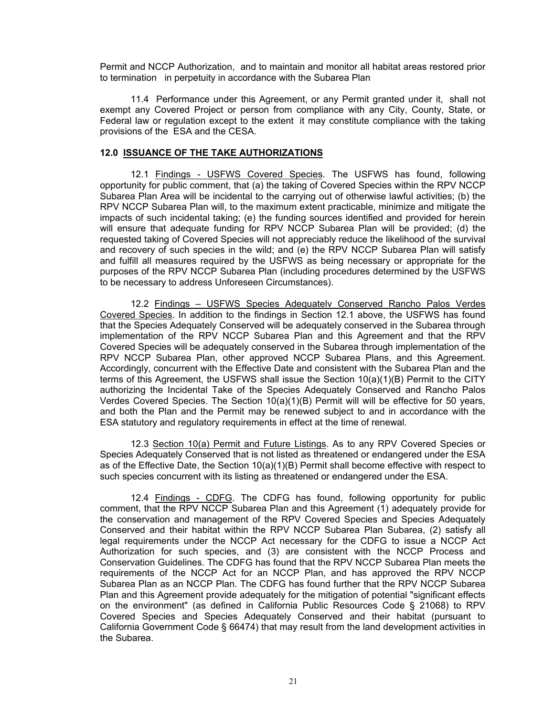Permit and NCCP Authorization, and to maintain and monitor all habitat areas restored prior to termination in perpetuity in accordance with the Subarea Plan

11.4 Performance under this Agreement, or any Permit granted under it, shall not exempt any Covered Project or person from compliance with any City, County, State, or Federal law or regulation except to the extent it may constitute compliance with the taking provisions of the ESA and the CESA.

#### **12.0 ISSUANCE OF THE TAKE AUTHORIZATIONS**

12.1 Findings - USFWS Covered Species. The USFWS has found, following opportunity for public comment, that (a) the taking of Covered Species within the RPV NCCP Subarea Plan Area will be incidental to the carrying out of otherwise lawful activities; (b) the RPV NCCP Subarea Plan will, to the maximum extent practicable, minimize and mitigate the impacts of such incidental taking; (e) the funding sources identified and provided for herein will ensure that adequate funding for RPV NCCP Subarea Plan will be provided; (d) the requested taking of Covered Species will not appreciably reduce the likelihood of the survival and recovery of such species in the wild; and (e) the RPV NCCP Subarea Plan will satisfy and fulfill all measures required by the USFWS as being necessary or appropriate for the purposes of the RPV NCCP Subarea Plan (including procedures determined by the USFWS to be necessary to address Unforeseen Circumstances).

12.2 Findings – USFWS Species Adequatelv Conserved Rancho Palos Verdes Covered Species. In addition to the findings in Section 12.1 above, the USFWS has found that the Species Adequately Conserved will be adequately conserved in the Subarea through implementation of the RPV NCCP Subarea Plan and this Agreement and that the RPV Covered Species will be adequately conserved in the Subarea through implementation of the RPV NCCP Subarea Plan, other approved NCCP Subarea Plans, and this Agreement. Accordingly, concurrent with the Effective Date and consistent with the Subarea Plan and the terms of this Agreement, the USFWS shall issue the Section 10(a)(1)(B) Permit to the CITY authorizing the Incidental Take of the Species Adequately Conserved and Rancho Palos Verdes Covered Species. The Section 10(a)(1)(B) Permit will will be effective for 50 years, and both the Plan and the Permit may be renewed subject to and in accordance with the ESA statutory and regulatory requirements in effect at the time of renewal.

12.3 Section 10(a) Permit and Future Listings. As to any RPV Covered Species or Species Adequately Conserved that is not listed as threatened or endangered under the ESA as of the Effective Date, the Section 10(a)(1)(B) Permit shall become effective with respect to such species concurrent with its listing as threatened or endangered under the ESA.

12.4 Findings - CDFG. The CDFG has found, following opportunity for public comment, that the RPV NCCP Subarea Plan and this Agreement (1) adequately provide for the conservation and management of the RPV Covered Species and Species Adequately Conserved and their habitat within the RPV NCCP Subarea Plan Subarea, (2) satisfy all legal requirements under the NCCP Act necessary for the CDFG to issue a NCCP Act Authorization for such species, and (3) are consistent with the NCCP Process and Conservation Guidelines. The CDFG has found that the RPV NCCP Subarea Plan meets the requirements of the NCCP Act for an NCCP Plan, and has approved the RPV NCCP Subarea Plan as an NCCP Plan. The CDFG has found further that the RPV NCCP Subarea Plan and this Agreement provide adequately for the mitigation of potential "significant effects on the environment" (as defined in California Public Resources Code § 21068) to RPV Covered Species and Species Adequately Conserved and their habitat (pursuant to California Government Code § 66474) that may result from the land development activities in the Subarea.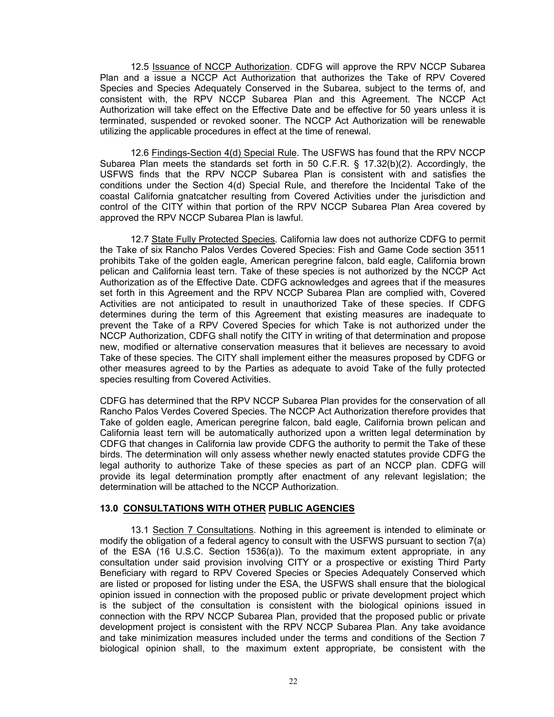12.5 Issuance of NCCP Authorization. CDFG will approve the RPV NCCP Subarea Plan and a issue a NCCP Act Authorization that authorizes the Take of RPV Covered Species and Species Adequately Conserved in the Subarea, subject to the terms of, and consistent with, the RPV NCCP Subarea Plan and this Agreement. The NCCP Act Authorization will take effect on the Effective Date and be effective for 50 years unless it is terminated, suspended or revoked sooner. The NCCP Act Authorization will be renewable utilizing the applicable procedures in effect at the time of renewal.

12.6 Findings-Section 4(d) Special Rule. The USFWS has found that the RPV NCCP Subarea Plan meets the standards set forth in 50 C.F.R. § 17.32(b)(2). Accordingly, the USFWS finds that the RPV NCCP Subarea Plan is consistent with and satisfies the conditions under the Section 4(d) Special Rule, and therefore the Incidental Take of the coastal California gnatcatcher resulting from Covered Activities under the jurisdiction and control of the CITY within that portion of the RPV NCCP Subarea Plan Area covered by approved the RPV NCCP Subarea Plan is lawful.

12.7 State Fully Protected Species. California law does not authorize CDFG to permit the Take of six Rancho Palos Verdes Covered Species: Fish and Game Code section 3511 prohibits Take of the golden eagle, American peregrine falcon, bald eagle, California brown pelican and California least tern. Take of these species is not authorized by the NCCP Act Authorization as of the Effective Date. CDFG acknowledges and agrees that if the measures set forth in this Agreement and the RPV NCCP Subarea Plan are complied with, Covered Activities are not anticipated to result in unauthorized Take of these species. If CDFG determines during the term of this Agreement that existing measures are inadequate to prevent the Take of a RPV Covered Species for which Take is not authorized under the NCCP Authorization, CDFG shall notify the CITY in writing of that determination and propose new, modified or alternative conservation measures that it believes are necessary to avoid Take of these species. The CITY shall implement either the measures proposed by CDFG or other measures agreed to by the Parties as adequate to avoid Take of the fully protected species resulting from Covered Activities.

CDFG has determined that the RPV NCCP Subarea Plan provides for the conservation of all Rancho Palos Verdes Covered Species. The NCCP Act Authorization therefore provides that Take of golden eagle, American peregrine falcon, bald eagle, California brown pelican and California least tern will be automatically authorized upon a written legal determination by CDFG that changes in California law provide CDFG the authority to permit the Take of these birds. The determination will only assess whether newly enacted statutes provide CDFG the legal authority to authorize Take of these species as part of an NCCP plan. CDFG will provide its legal determination promptly after enactment of any relevant legislation; the determination will be attached to the NCCP Authorization.

#### **13.0 CONSULTATIONS WITH OTHER PUBLIC AGENCIES**

13.1 Section 7 Consultations. Nothing in this agreement is intended to eliminate or modify the obligation of a federal agency to consult with the USFWS pursuant to section 7(a) of the ESA (16 U.S.C. Section 1536(a)). To the maximum extent appropriate, in any consultation under said provision involving CITY or a prospective or existing Third Party Beneficiary with regard to RPV Covered Species or Species Adequately Conserved which are listed or proposed for listing under the ESA, the USFWS shall ensure that the biological opinion issued in connection with the proposed public or private development project which is the subject of the consultation is consistent with the biological opinions issued in connection with the RPV NCCP Subarea Plan, provided that the proposed public or private development project is consistent with the RPV NCCP Subarea Plan. Any take avoidance and take minimization measures included under the terms and conditions of the Section 7 biological opinion shall, to the maximum extent appropriate, be consistent with the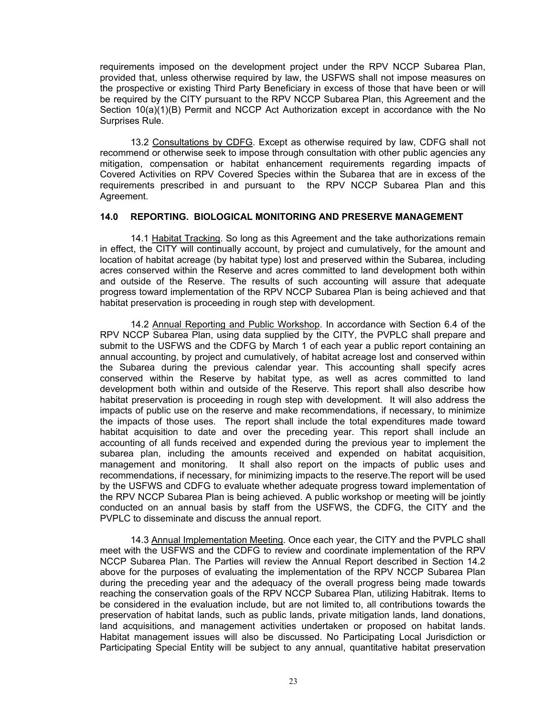requirements imposed on the development project under the RPV NCCP Subarea Plan, provided that, unless otherwise required by law, the USFWS shall not impose measures on the prospective or existing Third Party Beneficiary in excess of those that have been or will be required by the CITY pursuant to the RPV NCCP Subarea Plan, this Agreement and the Section 10(a)(1)(B) Permit and NCCP Act Authorization except in accordance with the No Surprises Rule.

13.2 Consultations by CDFG. Except as otherwise required by law, CDFG shall not recommend or otherwise seek to impose through consultation with other public agencies any mitigation, compensation or habitat enhancement requirements regarding impacts of Covered Activities on RPV Covered Species within the Subarea that are in excess of the requirements prescribed in and pursuant to the RPV NCCP Subarea Plan and this Agreement.

#### **14.0 REPORTING. BIOLOGICAL MONITORING AND PRESERVE MANAGEMENT**

14.1 Habitat Tracking. So long as this Agreement and the take authorizations remain in effect, the CITY will continually account, by project and cumulatively, for the amount and location of habitat acreage (by habitat type) lost and preserved within the Subarea, including acres conserved within the Reserve and acres committed to land development both within and outside of the Reserve. The results of such accounting will assure that adequate progress toward implementation of the RPV NCCP Subarea Plan is being achieved and that habitat preservation is proceeding in rough step with development.

14.2 Annual Reporting and Public Workshop. In accordance with Section 6.4 of the RPV NCCP Subarea Plan, using data supplied by the CITY, the PVPLC shall prepare and submit to the USFWS and the CDFG by March 1 of each year a public report containing an annual accounting, by project and cumulatively, of habitat acreage lost and conserved within the Subarea during the previous calendar year. This accounting shall specify acres conserved within the Reserve by habitat type, as well as acres committed to land development both within and outside of the Reserve. This report shall also describe how habitat preservation is proceeding in rough step with development. It will also address the impacts of public use on the reserve and make recommendations, if necessary, to minimize the impacts of those uses. The report shall include the total expenditures made toward habitat acquisition to date and over the preceding year. This report shall include an accounting of all funds received and expended during the previous year to implement the subarea plan, including the amounts received and expended on habitat acquisition, management and monitoring. It shall also report on the impacts of public uses and recommendations, if necessary, for minimizing impacts to the reserve.The report will be used by the USFWS and CDFG to evaluate whether adequate progress toward implementation of the RPV NCCP Subarea Plan is being achieved. A public workshop or meeting will be jointly conducted on an annual basis by staff from the USFWS, the CDFG, the CITY and the PVPLC to disseminate and discuss the annual report.

14.3 Annual Implementation Meeting. Once each year, the CITY and the PVPLC shall meet with the USFWS and the CDFG to review and coordinate implementation of the RPV NCCP Subarea Plan. The Parties will review the Annual Report described in Section 14.2 above for the purposes of evaluating the implementation of the RPV NCCP Subarea Plan during the preceding year and the adequacy of the overall progress being made towards reaching the conservation goals of the RPV NCCP Subarea Plan, utilizing Habitrak. Items to be considered in the evaluation include, but are not limited to, all contributions towards the preservation of habitat lands, such as public lands, private mitigation lands, land donations, land acquisitions, and management activities undertaken or proposed on habitat lands. Habitat management issues will also be discussed. No Participating Local Jurisdiction or Participating Special Entity will be subject to any annual, quantitative habitat preservation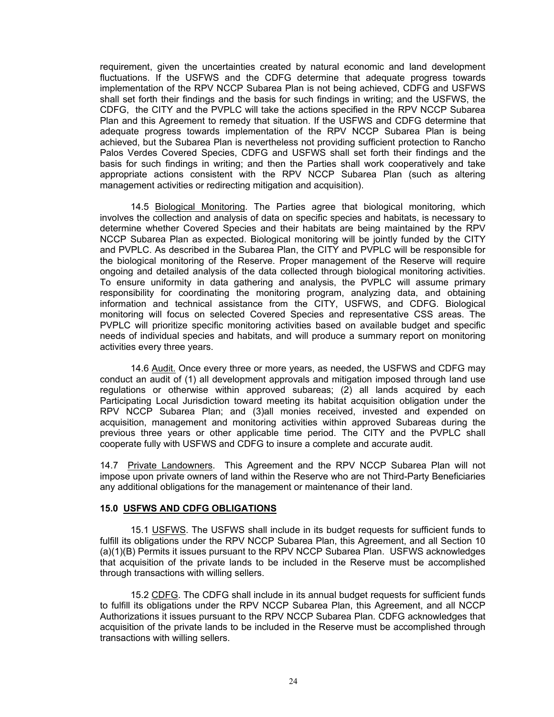requirement, given the uncertainties created by natural economic and land development fluctuations. If the USFWS and the CDFG determine that adequate progress towards implementation of the RPV NCCP Subarea Plan is not being achieved, CDFG and USFWS shall set forth their findings and the basis for such findings in writing; and the USFWS, the CDFG, the CITY and the PVPLC will take the actions specified in the RPV NCCP Subarea Plan and this Agreement to remedy that situation. If the USFWS and CDFG determine that adequate progress towards implementation of the RPV NCCP Subarea Plan is being achieved, but the Subarea Plan is nevertheless not providing sufficient protection to Rancho Palos Verdes Covered Species, CDFG and USFWS shall set forth their findings and the basis for such findings in writing; and then the Parties shall work cooperatively and take appropriate actions consistent with the RPV NCCP Subarea Plan (such as altering management activities or redirecting mitigation and acquisition).

14.5 Biological Monitoring. The Parties agree that biological monitoring, which involves the collection and analysis of data on specific species and habitats, is necessary to determine whether Covered Species and their habitats are being maintained by the RPV NCCP Subarea Plan as expected. Biological monitoring will be jointly funded by the CITY and PVPLC. As described in the Subarea Plan, the CITY and PVPLC will be responsible for the biological monitoring of the Reserve. Proper management of the Reserve will require ongoing and detailed analysis of the data collected through biological monitoring activities. To ensure uniformity in data gathering and analysis, the PVPLC will assume primary responsibility for coordinating the monitoring program, analyzing data, and obtaining information and technical assistance from the CITY, USFWS, and CDFG. Biological monitoring will focus on selected Covered Species and representative CSS areas. The PVPLC will prioritize specific monitoring activities based on available budget and specific needs of individual species and habitats, and will produce a summary report on monitoring activities every three years.

14.6 Audit. Once every three or more years, as needed, the USFWS and CDFG may conduct an audit of (1) all development approvals and mitigation imposed through land use regulations or otherwise within approved subareas; (2) all lands acquired by each Participating Local Jurisdiction toward meeting its habitat acquisition obligation under the RPV NCCP Subarea Plan; and (3)all monies received, invested and expended on acquisition, management and monitoring activities within approved Subareas during the previous three years or other applicable time period. The CITY and the PVPLC shall cooperate fully with USFWS and CDFG to insure a complete and accurate audit.

14.7 Private Landowners. This Agreement and the RPV NCCP Subarea Plan will not impose upon private owners of land within the Reserve who are not Third-Party Beneficiaries any additional obligations for the management or maintenance of their land.

#### **15.0 USFWS AND CDFG OBLIGATIONS**

15.1 USFWS. The USFWS shall include in its budget requests for sufficient funds to fulfill its obligations under the RPV NCCP Subarea Plan, this Agreement, and all Section 10 (a)(1)(B) Permits it issues pursuant to the RPV NCCP Subarea Plan. USFWS acknowledges that acquisition of the private lands to be included in the Reserve must be accomplished through transactions with willing sellers.

15.2 CDFG. The CDFG shall include in its annual budget requests for sufficient funds to fulfill its obligations under the RPV NCCP Subarea Plan, this Agreement, and all NCCP Authorizations it issues pursuant to the RPV NCCP Subarea Plan. CDFG acknowledges that acquisition of the private lands to be included in the Reserve must be accomplished through transactions with willing sellers.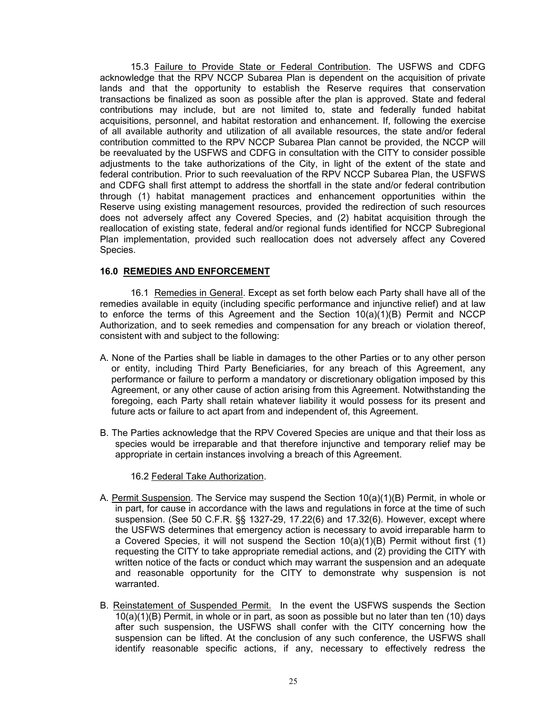15.3 Failure to Provide State or Federal Contribution. The USFWS and CDFG acknowledge that the RPV NCCP Subarea Plan is dependent on the acquisition of private lands and that the opportunity to establish the Reserve requires that conservation transactions be finalized as soon as possible after the plan is approved. State and federal contributions may include, but are not limited to, state and federally funded habitat acquisitions, personnel, and habitat restoration and enhancement. If, following the exercise of all available authority and utilization of all available resources, the state and/or federal contribution committed to the RPV NCCP Subarea Plan cannot be provided, the NCCP will be reevaluated by the USFWS and CDFG in consultation with the CITY to consider possible adjustments to the take authorizations of the City, in light of the extent of the state and federal contribution. Prior to such reevaluation of the RPV NCCP Subarea Plan, the USFWS and CDFG shall first attempt to address the shortfall in the state and/or federal contribution through (1) habitat management practices and enhancement opportunities within the Reserve using existing management resources, provided the redirection of such resources does not adversely affect any Covered Species, and (2) habitat acquisition through the reallocation of existing state, federal and/or regional funds identified for NCCP Subregional Plan implementation, provided such reallocation does not adversely affect any Covered Species.

#### **16.0 REMEDIES AND ENFORCEMENT**

16.1 Remedies in General. Except as set forth below each Party shall have all of the remedies available in equity (including specific performance and injunctive relief) and at law to enforce the terms of this Agreement and the Section  $10(a)(1)(B)$  Permit and NCCP Authorization, and to seek remedies and compensation for any breach or violation thereof, consistent with and subject to the following:

- A. None of the Parties shall be liable in damages to the other Parties or to any other person or entity, including Third Party Beneficiaries, for any breach of this Agreement, any performance or failure to perform a mandatory or discretionary obligation imposed by this Agreement, or any other cause of action arising from this Agreement. Notwithstanding the foregoing, each Party shall retain whatever liability it would possess for its present and future acts or failure to act apart from and independent of, this Agreement.
- B. The Parties acknowledge that the RPV Covered Species are unique and that their loss as species would be irreparable and that therefore injunctive and temporary relief may be appropriate in certain instances involving a breach of this Agreement.

#### 16.2 Federal Take Authorization.

- A. Permit Suspension. The Service may suspend the Section  $10(a)(1)(B)$  Permit, in whole or in part, for cause in accordance with the laws and regulations in force at the time of such suspension. (See 50 C.F.R. §§ 1327-29, 17.22(6) and 17.32(6). However, except where the USFWS determines that emergency action is necessary to avoid irreparable harm to a Covered Species, it will not suspend the Section  $10(a)(1)(B)$  Permit without first (1) requesting the CITY to take appropriate remedial actions, and (2) providing the CITY with written notice of the facts or conduct which may warrant the suspension and an adequate and reasonable opportunity for the CITY to demonstrate why suspension is not warranted.
- B. Reinstatement of Suspended Permit. In the event the USFWS suspends the Section 10(a)(1)(B) Permit, in whole or in part, as soon as possible but no later than ten (10) days after such suspension, the USFWS shall confer with the CITY concerning how the suspension can be lifted. At the conclusion of any such conference, the USFWS shall identify reasonable specific actions, if any, necessary to effectively redress the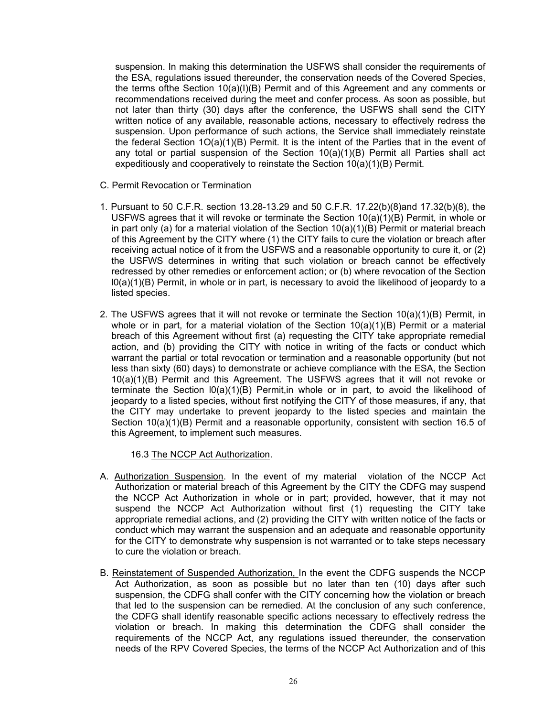suspension. In making this determination the USFWS shall consider the requirements of the ESA, regulations issued thereunder, the conservation needs of the Covered Species, the terms ofthe Section 10(a)(I)(B) Permit and of this Agreement and any comments or recommendations received during the meet and confer process. As soon as possible, but not later than thirty (30) days after the conference, the USFWS shall send the CITY written notice of any available, reasonable actions, necessary to effectively redress the suspension. Upon performance of such actions, the Service shall immediately reinstate the federal Section  $1O(a)(1)(B)$  Permit. It is the intent of the Parties that in the event of any total or partial suspension of the Section  $10(a)(1)(B)$  Permit all Parties shall act expeditiously and cooperatively to reinstate the Section 10(a)(1)(B) Permit.

- C. Permit Revocation or Termination
- 1. Pursuant to 50 C.F.R. section 13.28-13.29 and 50 C.F.R. 17.22(b)(8)and 17.32(b)(8), the USFWS agrees that it will revoke or terminate the Section 10(a)(1)(B) Permit, in whole or in part only (a) for a material violation of the Section  $10(a)(1)(B)$  Permit or material breach of this Agreement by the CITY where (1) the CITY fails to cure the violation or breach after receiving actual notice of it from the USFWS and a reasonable opportunity to cure it, or (2) the USFWS determines in writing that such violation or breach cannot be effectively redressed by other remedies or enforcement action; or (b) where revocation of the Section  $I(0(a)(1)(B)$  Permit, in whole or in part, is necessary to avoid the likelihood of jeopardy to a listed species.
- 2. The USFWS agrees that it will not revoke or terminate the Section 10(a)(1)(B) Permit, in whole or in part, for a material violation of the Section  $10(a)(1)(B)$  Permit or a material breach of this Agreement without first (a) requesting the CITY take appropriate remedial action, and (b) providing the CITY with notice in writing of the facts or conduct which warrant the partial or total revocation or termination and a reasonable opportunity (but not less than sixty (60) days) to demonstrate or achieve compliance with the ESA, the Section 10(a)(1)(B) Permit and this Agreement. The USFWS agrees that it will not revoke or terminate the Section  $I0(a)(1)(B)$  Permit, in whole or in part, to avoid the likelihood of jeopardy to a listed species, without first notifying the CITY of those measures, if any, that the CITY may undertake to prevent jeopardy to the listed species and maintain the Section 10(a)(1)(B) Permit and a reasonable opportunity, consistent with section 16.5 of this Agreement, to implement such measures.

16.3 The NCCP Act Authorization.

- A. Authorization Suspension. In the event of my material violation of the NCCP Act Authorization or material breach of this Agreement by the CITY the CDFG may suspend the NCCP Act Authorization in whole or in part; provided, however, that it may not suspend the NCCP Act Authorization without first (1) requesting the CITY take appropriate remedial actions, and (2) providing the CITY with written notice of the facts or conduct which may warrant the suspension and an adequate and reasonable opportunity for the CITY to demonstrate why suspension is not warranted or to take steps necessary to cure the violation or breach.
- B. Reinstatement of Suspended Authorization, In the event the CDFG suspends the NCCP Act Authorization, as soon as possible but no later than ten (10) days after such suspension, the CDFG shall confer with the CITY concerning how the violation or breach that led to the suspension can be remedied. At the conclusion of any such conference, the CDFG shall identify reasonable specific actions necessary to effectively redress the violation or breach. In making this determination the CDFG shall consider the requirements of the NCCP Act, any regulations issued thereunder, the conservation needs of the RPV Covered Species, the terms of the NCCP Act Authorization and of this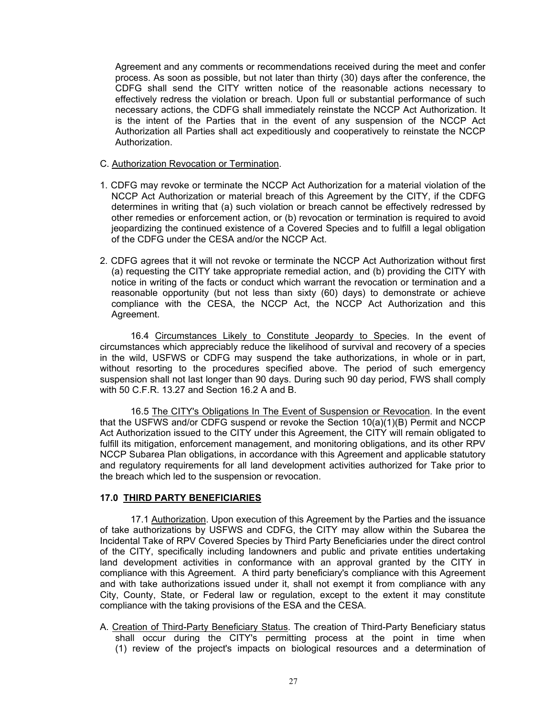Agreement and any comments or recommendations received during the meet and confer process. As soon as possible, but not later than thirty (30) days after the conference, the CDFG shall send the CITY written notice of the reasonable actions necessary to effectively redress the violation or breach. Upon full or substantial performance of such necessary actions, the CDFG shall immediately reinstate the NCCP Act Authorization. It is the intent of the Parties that in the event of any suspension of the NCCP Act Authorization all Parties shall act expeditiously and cooperatively to reinstate the NCCP Authorization.

#### C. Authorization Revocation or Termination.

- 1. CDFG may revoke or terminate the NCCP Act Authorization for a material violation of the NCCP Act Authorization or material breach of this Agreement by the CITY, if the CDFG determines in writing that (a) such violation or breach cannot be effectively redressed by other remedies or enforcement action, or (b) revocation or termination is required to avoid jeopardizing the continued existence of a Covered Species and to fulfill a legal obligation of the CDFG under the CESA and/or the NCCP Act.
- 2. CDFG agrees that it will not revoke or terminate the NCCP Act Authorization without first (a) requesting the CITY take appropriate remedial action, and (b) providing the CITY with notice in writing of the facts or conduct which warrant the revocation or termination and a reasonable opportunity (but not less than sixty (60) days) to demonstrate or achieve compliance with the CESA, the NCCP Act, the NCCP Act Authorization and this Agreement.

16.4 Circumstances Likely to Constitute Jeopardy to Species. In the event of circumstances which appreciably reduce the likelihood of survival and recovery of a species in the wild, USFWS or CDFG may suspend the take authorizations, in whole or in part, without resorting to the procedures specified above. The period of such emergency suspension shall not last longer than 90 days. During such 90 day period, FWS shall comply with 50 C.F.R. 13.27 and Section 16.2 A and B.

16.5 The CITY's Obligations In The Event of Suspension or Revocation. In the event that the USFWS and/or CDFG suspend or revoke the Section 10(a)(1)(B) Permit and NCCP Act Authorization issued to the CITY under this Agreement, the CITY will remain obligated to fulfill its mitigation, enforcement management, and monitoring obligations, and its other RPV NCCP Subarea Plan obligations, in accordance with this Agreement and applicable statutory and regulatory requirements for all land development activities authorized for Take prior to the breach which led to the suspension or revocation.

#### **17.0 THIRD PARTY BENEFICIARIES**

17.1 Authorization. Upon execution of this Agreement by the Parties and the issuance of take authorizations by USFWS and CDFG, the CITY may allow within the Subarea the Incidental Take of RPV Covered Species by Third Party Beneficiaries under the direct control of the CITY, specifically including landowners and public and private entities undertaking land development activities in conformance with an approval granted by the CITY in compliance with this Agreement. A third party beneficiary's compliance with this Agreement and with take authorizations issued under it, shall not exempt it from compliance with any City, County, State, or Federal law or regulation, except to the extent it may constitute compliance with the taking provisions of the ESA and the CESA.

A. Creation of Third-Party Beneficiary Status. The creation of Third-Party Beneficiary status shall occur during the CITY's permitting process at the point in time when (1) review of the project's impacts on biological resources and a determination of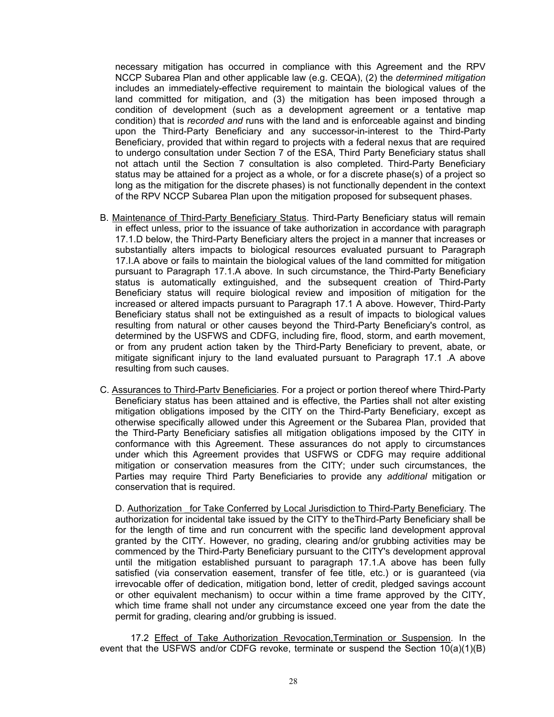necessary mitigation has occurred in compliance with this Agreement and the RPV NCCP Subarea Plan and other applicable law (e.g. CEQA), (2) the *determined mitigation*  includes an immediately-effective requirement to maintain the biological values of the land committed for mitigation, and (3) the mitigation has been imposed through a condition of development (such as a development agreement or a tentative map condition) that is *recorded and* runs with the land and is enforceable against and binding upon the Third-Party Beneficiary and any successor-in-interest to the Third-Party Beneficiary, provided that within regard to projects with a federal nexus that are required to undergo consultation under Section 7 of the ESA, Third Party Beneficiary status shall not attach until the Section 7 consultation is also completed. Third-Party Beneficiary status may be attained for a project as a whole, or for a discrete phase(s) of a project so long as the mitigation for the discrete phases) is not functionally dependent in the context of the RPV NCCP Subarea Plan upon the mitigation proposed for subsequent phases.

- B. Maintenance of Third-Party Beneficiary Status. Third-Party Beneficiary status will remain in effect unless, prior to the issuance of take authorization in accordance with paragraph 17.1.D below, the Third-Party Beneficiary alters the project in a manner that increases or substantially alters impacts to biological resources evaluated pursuant to Paragraph 17.I.A above or fails to maintain the biological values of the land committed for mitigation pursuant to Paragraph 17.1.A above. In such circumstance, the Third-Party Beneficiary status is automatically extinguished, and the subsequent creation of Third-Party Beneficiary status will require biological review and imposition of mitigation for the increased or altered impacts pursuant to Paragraph 17.1 A above. However, Third-Party Beneficiary status shall not be extinguished as a result of impacts to biological values resulting from natural or other causes beyond the Third-Party Beneficiary's control, as determined by the USFWS and CDFG, including fire, flood, storm, and earth movement, or from any prudent action taken by the Third-Party Beneficiary to prevent, abate, or mitigate significant injury to the land evaluated pursuant to Paragraph 17.1 .A above resulting from such causes.
- C. Assurances to Third-Partv Beneficiaries. For a project or portion thereof where Third-Party Beneficiary status has been attained and is effective, the Parties shall not alter existing mitigation obligations imposed by the CITY on the Third-Party Beneficiary, except as otherwise specifically allowed under this Agreement or the Subarea Plan, provided that the Third-Party Beneficiary satisfies all mitigation obligations imposed by the CITY in conformance with this Agreement. These assurances do not apply to circumstances under which this Agreement provides that USFWS or CDFG may require additional mitigation or conservation measures from the CITY; under such circumstances, the Parties may require Third Party Beneficiaries to provide any *additional* mitigation or conservation that is required.

D. Authorization for Take Conferred by Local Jurisdiction to Third-Party Beneficiary. The authorization for incidental take issued by the CITY to theThird-Party Beneficiary shall be for the length of time and run concurrent with the specific land development approval granted by the CITY. However, no grading, clearing and/or grubbing activities may be commenced by the Third-Party Beneficiary pursuant to the CITY's development approval until the mitigation established pursuant to paragraph 17.1.A above has been fully satisfied (via conservation easement, transfer of fee title, etc.) or is guaranteed (via irrevocable offer of dedication, mitigation bond, letter of credit, pledged savings account or other equivalent mechanism) to occur within a time frame approved by the CITY, which time frame shall not under any circumstance exceed one year from the date the permit for grading, clearing and/or grubbing is issued.

17.2 Effect of Take Authorization Revocation,Termination or Suspension. In the event that the USFWS and/or CDFG revoke, terminate or suspend the Section 10(a)(1)(B)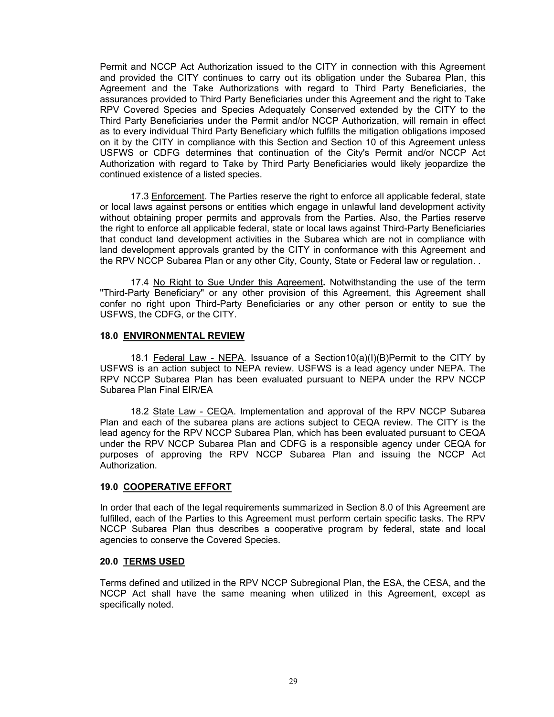Permit and NCCP Act Authorization issued to the CITY in connection with this Agreement and provided the CITY continues to carry out its obligation under the Subarea Plan, this Agreement and the Take Authorizations with regard to Third Party Beneficiaries, the assurances provided to Third Party Beneficiaries under this Agreement and the right to Take RPV Covered Species and Species Adequately Conserved extended by the CITY to the Third Party Beneficiaries under the Permit and/or NCCP Authorization, will remain in effect as to every individual Third Party Beneficiary which fulfills the mitigation obligations imposed on it by the CITY in compliance with this Section and Section 10 of this Agreement unless USFWS or CDFG determines that continuation of the City's Permit and/or NCCP Act Authorization with regard to Take by Third Party Beneficiaries would likely jeopardize the continued existence of a listed species.

17.3 Enforcement. The Parties reserve the right to enforce all applicable federal, state or local laws against persons or entities which engage in unlawful land development activity without obtaining proper permits and approvals from the Parties. Also, the Parties reserve the right to enforce all applicable federal, state or local laws against Third-Party Beneficiaries that conduct land development activities in the Subarea which are not in compliance with land development approvals granted by the CITY in conformance with this Agreement and the RPV NCCP Subarea Plan or any other City, County, State or Federal law or regulation. .

17.4 No Right to Sue Under this Agreement**.** Notwithstanding the use of the term "Third-Party Beneficiary" or any other provision of this Agreement, this Agreement shall confer no right upon Third-Party Beneficiaries or any other person or entity to sue the USFWS, the CDFG, or the CITY.

#### **18.0 ENVIRONMENTAL REVIEW**

18.1 Federal Law - NEPA. Issuance of a Section10(a)(I)(B)Permit to the CITY by USFWS is an action subject to NEPA review. USFWS is a lead agency under NEPA. The RPV NCCP Subarea Plan has been evaluated pursuant to NEPA under the RPV NCCP Subarea Plan Final EIR/EA

18.2 State Law - CEQA. Implementation and approval of the RPV NCCP Subarea Plan and each of the subarea plans are actions subject to CEQA review. The CITY is the lead agency for the RPV NCCP Subarea Plan, which has been evaluated pursuant to CEQA under the RPV NCCP Subarea Plan and CDFG is a responsible agency under CEQA for purposes of approving the RPV NCCP Subarea Plan and issuing the NCCP Act Authorization.

#### **19.0 COOPERATIVE EFFORT**

In order that each of the legal requirements summarized in Section 8.0 of this Agreement are fulfilled, each of the Parties to this Agreement must perform certain specific tasks. The RPV NCCP Subarea Plan thus describes a cooperative program by federal, state and local agencies to conserve the Covered Species.

#### **20.0 TERMS USED**

Terms defined and utilized in the RPV NCCP Subregional Plan, the ESA, the CESA, and the NCCP Act shall have the same meaning when utilized in this Agreement, except as specifically noted.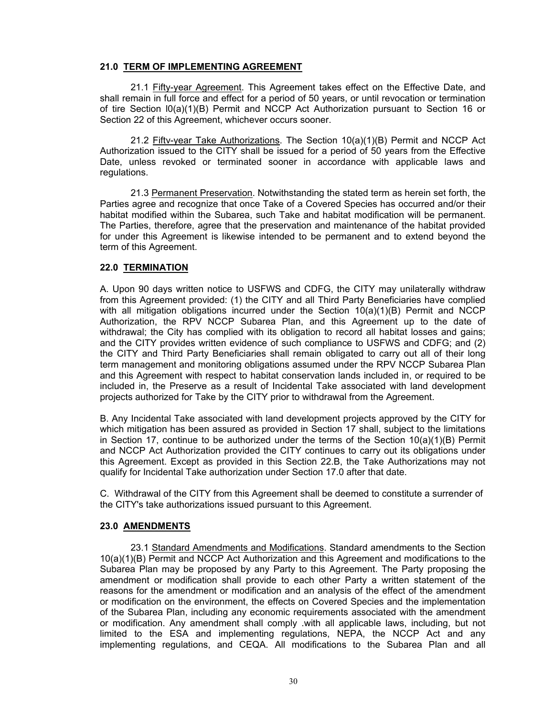#### **21.0 TERM OF IMPLEMENTING AGREEMENT**

21.1 Fifty-year Agreement. This Agreement takes effect on the Effective Date, and shall remain in full force and effect for a period of 50 years, or until revocation or termination of tire Section l0(a)(1)(B) Permit and NCCP Act Authorization pursuant to Section 16 or Section 22 of this Agreement, whichever occurs sooner.

21.2 Fiftv-year Take Authorizations. The Section 10(a)(1)(B) Permit and NCCP Act Authorization issued to the CITY shall be issued for a period of 50 years from the Effective Date, unless revoked or terminated sooner in accordance with applicable laws and regulations.

21.3 Permanent Preservation. Notwithstanding the stated term as herein set forth, the Parties agree and recognize that once Take of a Covered Species has occurred and/or their habitat modified within the Subarea, such Take and habitat modification will be permanent. The Parties, therefore, agree that the preservation and maintenance of the habitat provided for under this Agreement is likewise intended to be permanent and to extend beyond the term of this Agreement.

#### **22.0 TERMINATION**

A. Upon 90 days written notice to USFWS and CDFG, the CITY may unilaterally withdraw from this Agreement provided: (1) the CITY and all Third Party Beneficiaries have complied with all mitigation obligations incurred under the Section  $10(a)(1)(B)$  Permit and NCCP Authorization, the RPV NCCP Subarea Plan, and this Agreement up to the date of withdrawal; the City has complied with its obligation to record all habitat losses and gains; and the CITY provides written evidence of such compliance to USFWS and CDFG; and (2) the CITY and Third Party Beneficiaries shall remain obligated to carry out all of their long term management and monitoring obligations assumed under the RPV NCCP Subarea Plan and this Agreement with respect to habitat conservation lands included in, or required to be included in, the Preserve as a result of Incidental Take associated with land development projects authorized for Take by the CITY prior to withdrawal from the Agreement.

B. Any Incidental Take associated with land development projects approved by the CITY for which mitigation has been assured as provided in Section 17 shall, subject to the limitations in Section 17, continue to be authorized under the terms of the Section  $10(a)(1)(B)$  Permit and NCCP Act Authorization provided the CITY continues to carry out its obligations under this Agreement. Except as provided in this Section 22.B, the Take Authorizations may not qualify for Incidental Take authorization under Section 17.0 after that date.

C. Withdrawal of the CITY from this Agreement shall be deemed to constitute a surrender of the CITY's take authorizations issued pursuant to this Agreement.

#### **23.0 AMENDMENTS**

23.1 Standard Amendments and Modifications. Standard amendments to the Section 10(a)(1)(B) Permit and NCCP Act Authorization and this Agreement and modifications to the Subarea Plan may be proposed by any Party to this Agreement. The Party proposing the amendment or modification shall provide to each other Party a written statement of the reasons for the amendment or modification and an analysis of the effect of the amendment or modification on the environment, the effects on Covered Species and the implementation of the Subarea Plan, including any economic requirements associated with the amendment or modification. Any amendment shall comply .with all applicable laws, including, but not limited to the ESA and implementing regulations, NEPA, the NCCP Act and any implementing regulations, and CEQA. All modifications to the Subarea Plan and all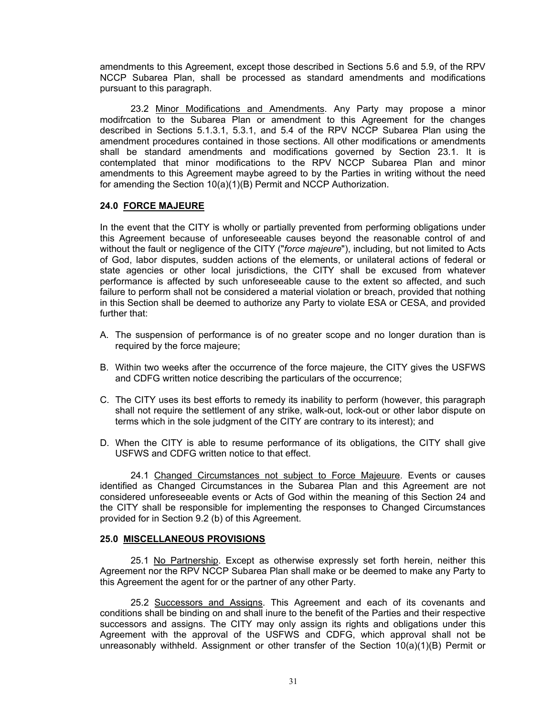amendments to this Agreement, except those described in Sections 5.6 and 5.9, of the RPV NCCP Subarea Plan, shall be processed as standard amendments and modifications pursuant to this paragraph.

23.2 Minor Modifications and Amendments. Any Party may propose a minor modifrcation to the Subarea Plan or amendment to this Agreement for the changes described in Sections 5.1.3.1, 5.3.1, and 5.4 of the RPV NCCP Subarea Plan using the amendment procedures contained in those sections. All other modifications or amendments shall be standard amendments and modifications governed by Section 23.1. It is contemplated that minor modifications to the RPV NCCP Subarea Plan and minor amendments to this Agreement maybe agreed to by the Parties in writing without the need for amending the Section 10(a)(1)(B) Permit and NCCP Authorization.

#### **24.0 FORCE MAJEURE**

In the event that the CITY is wholly or partially prevented from performing obligations under this Agreement because of unforeseeable causes beyond the reasonable control of and without the fault or negligence of the CITY ("*force majeure*"), including, but not limited to Acts of God, labor disputes, sudden actions of the elements, or unilateral actions of federal or state agencies or other local jurisdictions, the CITY shall be excused from whatever performance is affected by such unforeseeable cause to the extent so affected, and such failure to perform shall not be considered a material violation or breach, provided that nothing in this Section shall be deemed to authorize any Party to violate ESA or CESA, and provided further that:

- A. The suspension of performance is of no greater scope and no longer duration than is required by the force majeure;
- B. Within two weeks after the occurrence of the force majeure, the CITY gives the USFWS and CDFG written notice describing the particulars of the occurrence;
- C. The CITY uses its best efforts to remedy its inability to perform (however, this paragraph shall not require the settlement of any strike, walk-out, lock-out or other labor dispute on terms which in the sole judgment of the CITY are contrary to its interest); and
- D. When the CITY is able to resume performance of its obligations, the CITY shall give USFWS and CDFG written notice to that effect.

24.1 Changed Circumstances not subject to Force Majeuure. Events or causes identified as Changed Circumstances in the Subarea Plan and this Agreement are not considered unforeseeable events or Acts of God within the meaning of this Section 24 and the CITY shall be responsible for implementing the responses to Changed Circumstances provided for in Section 9.2 (b) of this Agreement.

#### **25.0 MISCELLANEOUS PROVISIONS**

25.1 No Partnership. Except as otherwise expressly set forth herein, neither this Agreement nor the RPV NCCP Subarea Plan shall make or be deemed to make any Party to this Agreement the agent for or the partner of any other Party.

25.2 Successors and Assigns. This Agreement and each of its covenants and conditions shall be binding on and shall inure to the benefit of the Parties and their respective successors and assigns. The CITY may only assign its rights and obligations under this Agreement with the approval of the USFWS and CDFG, which approval shall not be unreasonably withheld. Assignment or other transfer of the Section 10(a)(1)(B) Permit or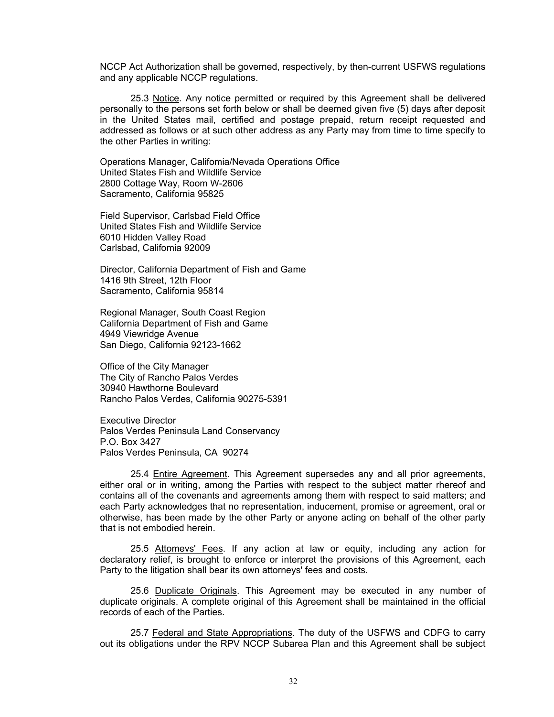NCCP Act Authorization shall be governed, respectively, by then-current USFWS regulations and any applicable NCCP regulations.

25.3 Notice. Any notice permitted or required by this Agreement shall be delivered personally to the persons set forth below or shall be deemed given five (5) days after deposit in the United States mail, certified and postage prepaid, return receipt requested and addressed as follows or at such other address as any Party may from time to time specify to the other Parties in writing:

Operations Manager, Califomia/Nevada Operations Office United States Fish and Wildlife Service 2800 Cottage Way, Room W-2606 Sacramento, California 95825

Field Supervisor, Carlsbad Field Office United States Fish and Wildlife Service 6010 Hidden Valley Road Carlsbad, Califomia 92009

Director, California Department of Fish and Game 1416 9th Street, 12th Floor Sacramento, California 95814

Regional Manager, South Coast Region California Department of Fish and Game 4949 Viewridge Avenue San Diego, California 92123-1662

Office of the City Manager The City of Rancho Palos Verdes 30940 Hawthorne Boulevard Rancho Palos Verdes, California 90275-5391

Executive Director Palos Verdes Peninsula Land Conservancy P.O. Box 3427 Palos Verdes Peninsula, CA 90274

25.4 Entire Agreement. This Agreement supersedes any and all prior agreements, either oral or in writing, among the Parties with respect to the subject matter rhereof and contains all of the covenants and agreements among them with respect to said matters; and each Party acknowledges that no representation, inducement, promise or agreement, oral or otherwise, has been made by the other Party or anyone acting on behalf of the other party that is not embodied herein.

25.5 Attomevs' Fees. If any action at law or equity, including any action for declaratory relief, is brought to enforce or interpret the provisions of this Agreement, each Party to the litigation shall bear its own attorneys' fees and costs.

25.6 Duplicate Originals. This Agreement may be executed in any number of duplicate originals. A complete original of this Agreement shall be maintained in the official records of each of the Parties.

25.7 Federal and State Appropriations. The duty of the USFWS and CDFG to carry out its obligations under the RPV NCCP Subarea Plan and this Agreement shall be subject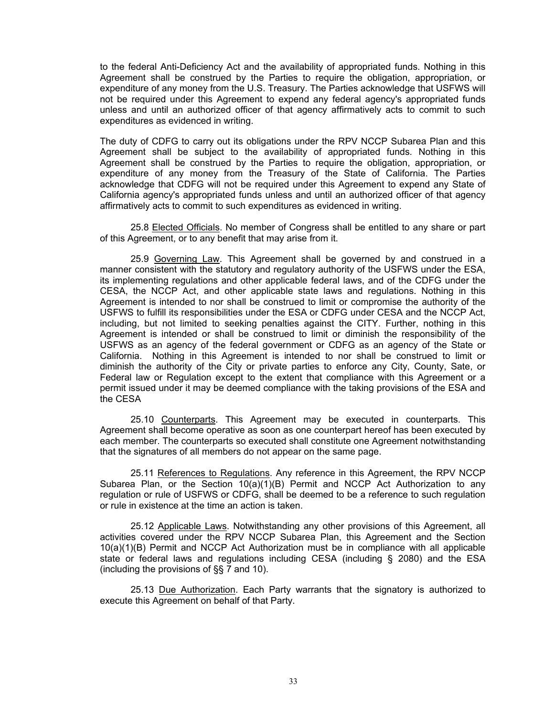to the federal Anti-Deficiency Act and the availability of appropriated funds. Nothing in this Agreement shall be construed by the Parties to require the obligation, appropriation, or expenditure of any money from the U.S. Treasury. The Parties acknowledge that USFWS will not be required under this Agreement to expend any federal agency's appropriated funds unless and until an authorized officer of that agency affirmatively acts to commit to such expenditures as evidenced in writing.

The duty of CDFG to carry out its obligations under the RPV NCCP Subarea Plan and this Agreement shall be subject to the availability of appropriated funds. Nothing in this Agreement shall be construed by the Parties to require the obligation, appropriation, or expenditure of any money from the Treasury of the State of California. The Parties acknowledge that CDFG will not be required under this Agreement to expend any State of California agency's appropriated funds unless and until an authorized officer of that agency affirmatively acts to commit to such expenditures as evidenced in writing.

25.8 Elected Officials. No member of Congress shall be entitled to any share or part of this Agreement, or to any benefit that may arise from it.

25.9 Governing Law. This Agreement shall be governed by and construed in a manner consistent with the statutory and regulatory authority of the USFWS under the ESA, its implementing regulations and other applicable federal laws, and of the CDFG under the CESA, the NCCP Act, and other applicable state laws and regulations. Nothing in this Agreement is intended to nor shall be construed to limit or compromise the authority of the USFWS to fulfill its responsibilities under the ESA or CDFG under CESA and the NCCP Act, including, but not limited to seeking penalties against the CITY. Further, nothing in this Agreement is intended or shall be construed to limit or diminish the responsibility of the USFWS as an agency of the federal government or CDFG as an agency of the State or California. Nothing in this Agreement is intended to nor shall be construed to limit or diminish the authority of the City or private parties to enforce any City, County, Sate, or Federal law or Regulation except to the extent that compliance with this Agreement or a permit issued under it may be deemed compliance with the taking provisions of the ESA and the CESA

25.10 Counterparts. This Agreement may be executed in counterparts. This Agreement shall become operative as soon as one counterpart hereof has been executed by each member. The counterparts so executed shall constitute one Agreement notwithstanding that the signatures of all members do not appear on the same page.

25.11 References to Regulations. Any reference in this Agreement, the RPV NCCP Subarea Plan, or the Section  $10(a)(1)(B)$  Permit and NCCP Act Authorization to any regulation or rule of USFWS or CDFG, shall be deemed to be a reference to such regulation or rule in existence at the time an action is taken.

25.12 Applicable Laws. Notwithstanding any other provisions of this Agreement, all activities covered under the RPV NCCP Subarea Plan, this Agreement and the Section 10(a)(1)(B) Permit and NCCP Act Authorization must be in compliance with all applicable state or federal laws and regulations including CESA (including § 2080) and the ESA (including the provisions of §§ 7 and 10).

25.13 Due Authorization. Each Party warrants that the signatory is authorized to execute this Agreement on behalf of that Party.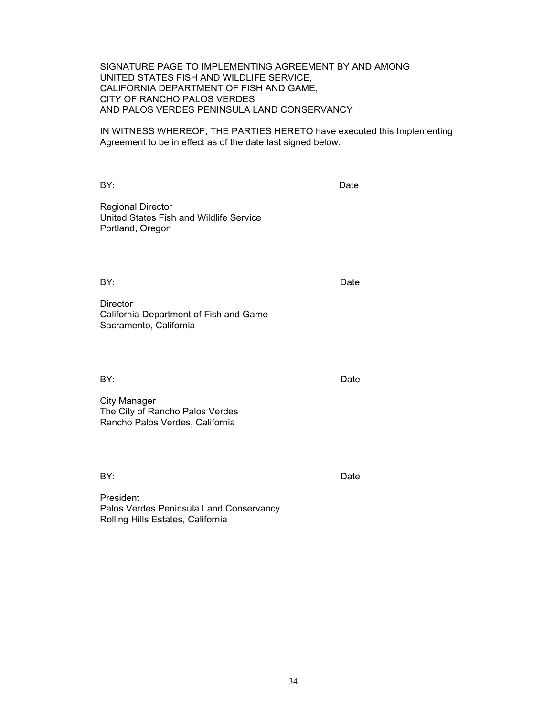IN WITNESS WHEREOF, THE PARTIES HERETO have executed this Implementing Agreement to be in effect as of the date last signed below.

BY: Date

Regional Director United States Fish and Wildlife Service Portland, Oregon

BY: Date

**Director** California Department of Fish and Game Sacramento, California

BY: Date

City Manager The City of Rancho Palos Verdes Rancho Palos Verdes, California

BY: Date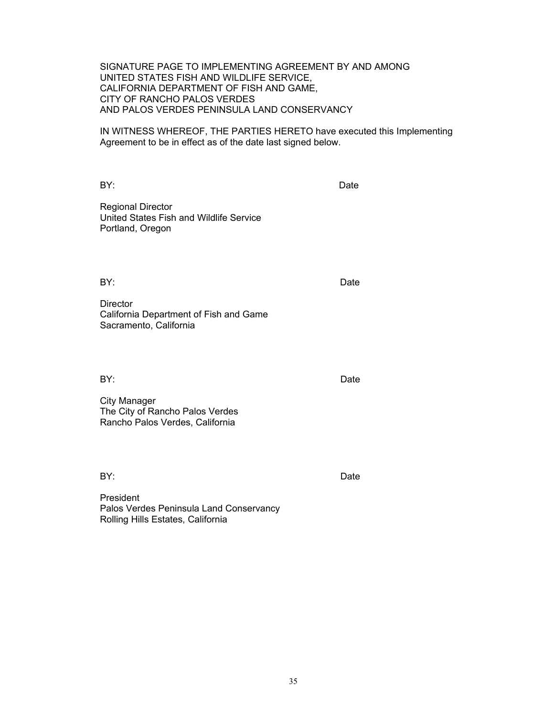IN WITNESS WHEREOF, THE PARTIES HERETO have executed this Implementing Agreement to be in effect as of the date last signed below.

BY: Date

Regional Director United States Fish and Wildlife Service Portland, Oregon

BY: Date

**Director** California Department of Fish and Game Sacramento, California

BY: Date

City Manager The City of Rancho Palos Verdes Rancho Palos Verdes, California

BY: Date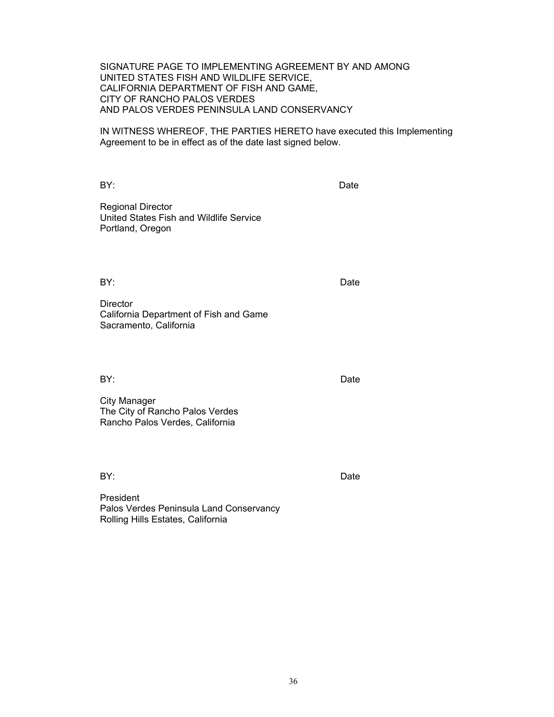IN WITNESS WHEREOF, THE PARTIES HERETO have executed this Implementing Agreement to be in effect as of the date last signed below.

BY: Date

Regional Director United States Fish and Wildlife Service Portland, Oregon

BY: Date

**Director** California Department of Fish and Game Sacramento, California

BY: Date

City Manager The City of Rancho Palos Verdes Rancho Palos Verdes, California

BY: Date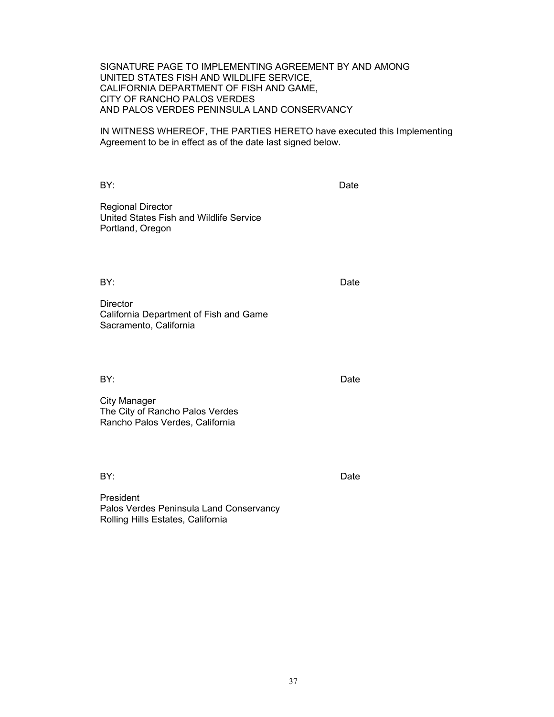IN WITNESS WHEREOF, THE PARTIES HERETO have executed this Implementing Agreement to be in effect as of the date last signed below.

BY: Date

Regional Director United States Fish and Wildlife Service Portland, Oregon

BY: Date

**Director** California Department of Fish and Game Sacramento, California

BY: Date

City Manager The City of Rancho Palos Verdes Rancho Palos Verdes, California

BY: Date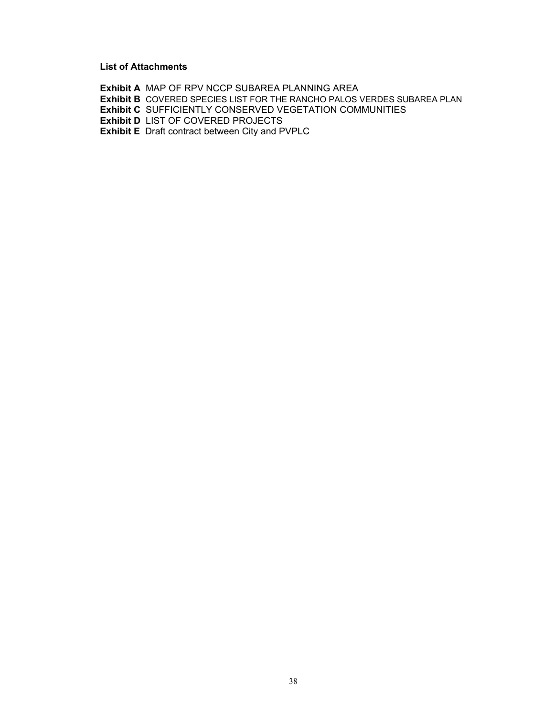#### **List of Attachments**

- **Exhibit A** MAP OF RPV NCCP SUBAREA PLANNING AREA
- **Exhibit B** COVERED SPECIES LIST FOR THE RANCHO PALOS VERDES SUBAREA PLAN
- **Exhibit C** SUFFICIENTLY CONSERVED VEGETATION COMMUNITIES
- **Exhibit D** LIST OF COVERED PROJECTS
- **Exhibit E** Draft contract between City and PVPLC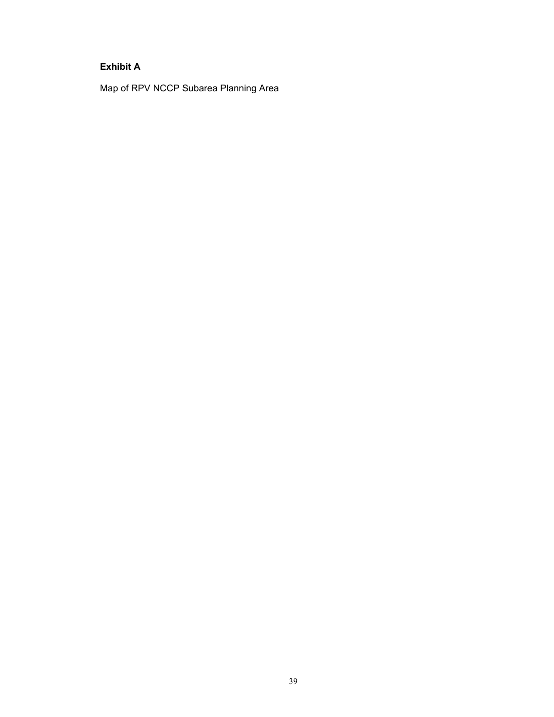## **Exhibit A**

Map of RPV NCCP Subarea Planning Area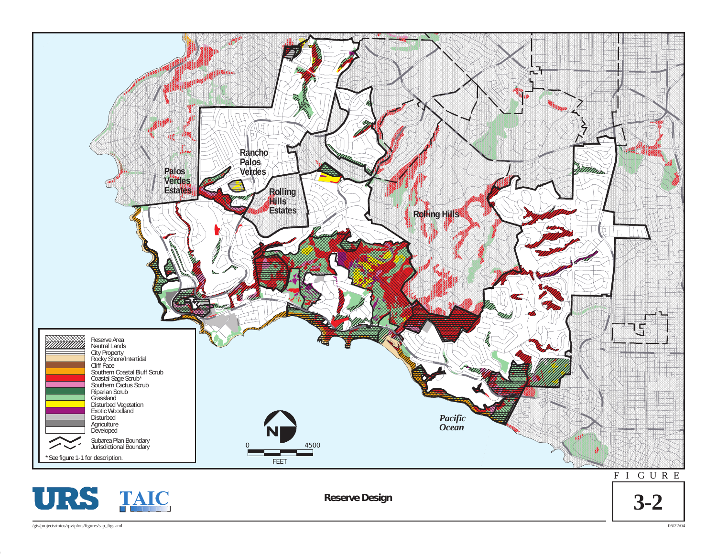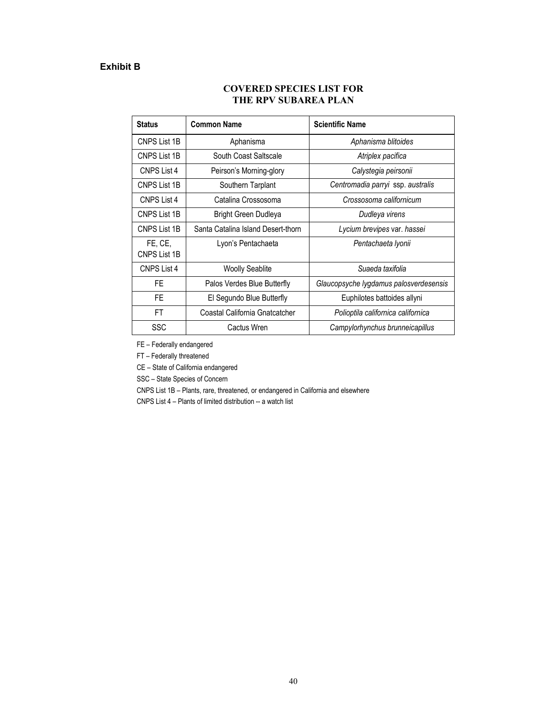## **Exhibit B**

#### **COVERED SPECIES LIST FOR THE RPV SUBAREA PLAN**

| <b>Status</b>                  | <b>Common Name</b>                 | <b>Scientific Name</b>                 |  |
|--------------------------------|------------------------------------|----------------------------------------|--|
| <b>CNPS List 1B</b>            | Aphanisma                          | Aphanisma blitoides                    |  |
| CNPS List 1B                   | South Coast Saltscale              | Atriplex pacifica                      |  |
| CNPS List 4                    | Peirson's Morning-glory            | Calystegia peirsonii                   |  |
| <b>CNPS List 1B</b>            | Southern Tarplant                  | Centromadia parryi ssp. australis      |  |
| CNPS List 4                    | Catalina Crossosoma                | Crossosoma californicum                |  |
| CNPS List 1B                   | <b>Bright Green Dudleya</b>        | Dudleya virens                         |  |
| <b>CNPS List 1B</b>            | Santa Catalina Island Desert-thorn | Lycium brevipes var. hassei            |  |
| FE, CE,<br><b>CNPS List 1B</b> | Lyon's Pentachaeta                 | Pentachaeta Iyonii                     |  |
| CNPS List 4                    | <b>Woolly Seablite</b>             | Suaeda taxifolia                       |  |
| FE                             | Palos Verdes Blue Butterfly        | Glaucopsyche lygdamus palosverdesensis |  |
| FE.                            | El Segundo Blue Butterfly          | Euphilotes battoides allyni            |  |
| FT.                            | Coastal California Gnatcatcher     | Polioptila californica californica     |  |
| SSC                            | Cactus Wren                        | Campylorhynchus brunneicapillus        |  |

FE – Federally endangered

FT – Federally threatened

CE – State of California endangered

SSC – State Species of Concern

CNPS List 1B – Plants, rare, threatened, or endangered in California and elsewhere

CNPS List 4 – Plants of limited distribution -- a watch list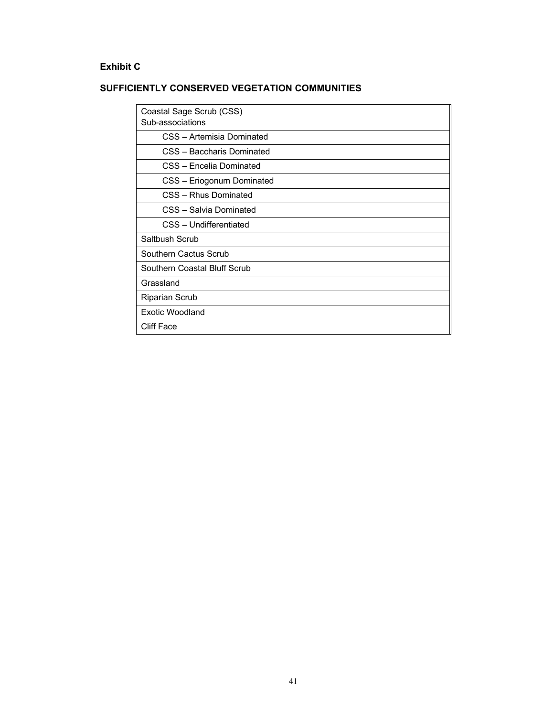## **Exhibit C**

## **SUFFICIENTLY CONSERVED VEGETATION COMMUNITIES**

| Coastal Sage Scrub (CSS)     |  |  |  |  |
|------------------------------|--|--|--|--|
| Sub-associations             |  |  |  |  |
| CSS - Artemisia Dominated    |  |  |  |  |
| CSS - Baccharis Dominated    |  |  |  |  |
| CSS - Encelia Dominated      |  |  |  |  |
| CSS - Eriogonum Dominated    |  |  |  |  |
| CSS - Rhus Dominated         |  |  |  |  |
| CSS - Salvia Dominated       |  |  |  |  |
| CSS - Undifferentiated       |  |  |  |  |
| Saltbush Scrub               |  |  |  |  |
| Southern Cactus Scrub        |  |  |  |  |
| Southern Coastal Bluff Scrub |  |  |  |  |
| Grassland                    |  |  |  |  |
| Riparian Scrub               |  |  |  |  |
| <b>Exotic Woodland</b>       |  |  |  |  |
| Cliff Face                   |  |  |  |  |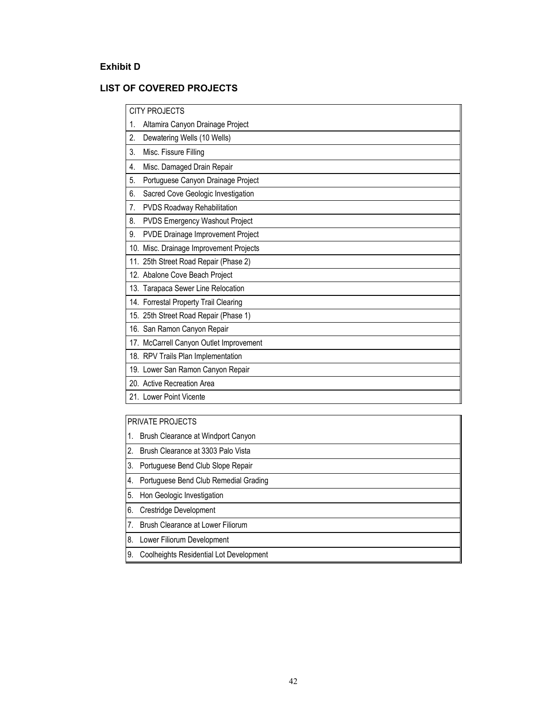## **Exhibit D**

#### **LIST OF COVERED PROJECTS**

|     | <b>CITY PROJECTS</b>                    |  |  |  |  |
|-----|-----------------------------------------|--|--|--|--|
| 1.  | Altamira Canyon Drainage Project        |  |  |  |  |
| 2.  | Dewatering Wells (10 Wells)             |  |  |  |  |
| 3.  | Misc. Fissure Filling                   |  |  |  |  |
| 4.  | Misc. Damaged Drain Repair              |  |  |  |  |
| 5.  | Portuguese Canyon Drainage Project      |  |  |  |  |
| 6.  | Sacred Cove Geologic Investigation      |  |  |  |  |
| 7.  | PVDS Roadway Rehabilitation             |  |  |  |  |
| 8.  | <b>PVDS Emergency Washout Project</b>   |  |  |  |  |
| 9.  | PVDE Drainage Improvement Project       |  |  |  |  |
| 10. | Misc. Drainage Improvement Projects     |  |  |  |  |
|     | 11. 25th Street Road Repair (Phase 2)   |  |  |  |  |
|     | 12. Abalone Cove Beach Project          |  |  |  |  |
|     | 13. Tarapaca Sewer Line Relocation      |  |  |  |  |
|     | 14. Forrestal Property Trail Clearing   |  |  |  |  |
|     | 15. 25th Street Road Repair (Phase 1)   |  |  |  |  |
|     | 16. San Ramon Canyon Repair             |  |  |  |  |
|     | 17. McCarrell Canyon Outlet Improvement |  |  |  |  |
|     | 18. RPV Trails Plan Implementation      |  |  |  |  |
|     | 19. Lower San Ramon Canyon Repair       |  |  |  |  |
|     | 20. Active Recreation Area              |  |  |  |  |
|     | 21. Lower Point Vicente                 |  |  |  |  |

#### PRIVATE PROJECTS

| 1. |  | Brush Clearance at Windport Canyon |
|----|--|------------------------------------|
|    |  |                                    |

- 2. Brush Clearance at 3303 Palo Vista
- 3. Portuguese Bend Club Slope Repair
- 4. Portuguese Bend Club Remedial Grading
- 5. Hon Geologic Investigation
- 6. Crestridge Development
- 7. Brush Clearance at Lower Filiorum
- 8. Lower Filiorum Development
- 9. Coolheights Residential Lot Development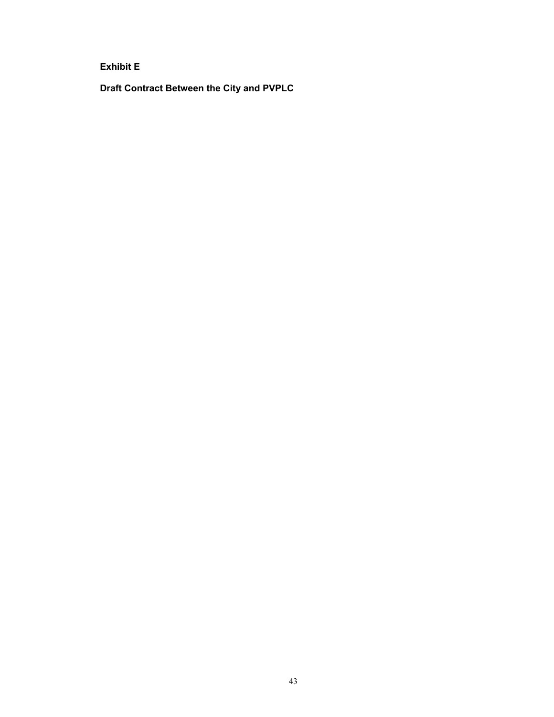**Exhibit E** 

**Draft Contract Between the City and PVPLC**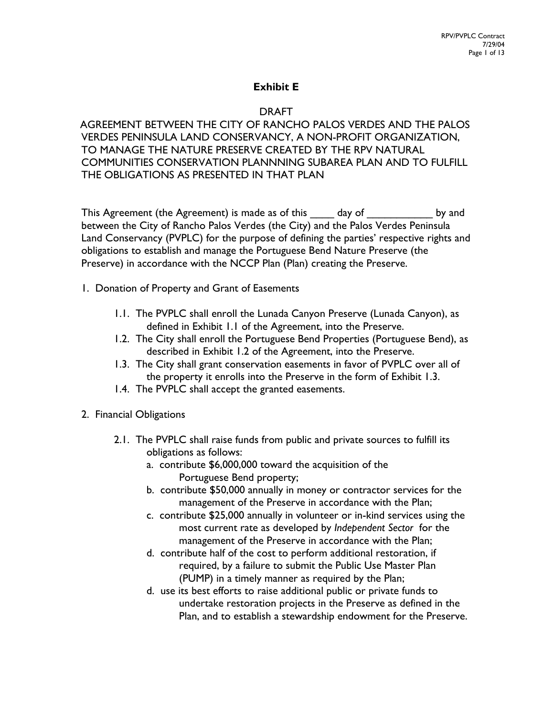## **Exhibit E**

## DRAFT

AGREEMENT BETWEEN THE CITY OF RANCHO PALOS VERDES AND THE PALOS VERDES PENINSULA LAND CONSERVANCY, A NON-PROFIT ORGANIZATION, TO MANAGE THE NATURE PRESERVE CREATED BY THE RPV NATURAL COMMUNITIES CONSERVATION PLANNNING SUBAREA PLAN AND TO FULFILL THE OBLIGATIONS AS PRESENTED IN THAT PLAN

This Agreement (the Agreement) is made as of this \_\_\_\_ day of \_\_\_\_\_\_\_\_\_\_\_ by and between the City of Rancho Palos Verdes (the City) and the Palos Verdes Peninsula Land Conservancy (PVPLC) for the purpose of defining the parties' respective rights and obligations to establish and manage the Portuguese Bend Nature Preserve (the Preserve) in accordance with the NCCP Plan (Plan) creating the Preserve.

- 1. Donation of Property and Grant of Easements
	- 1.1. The PVPLC shall enroll the Lunada Canyon Preserve (Lunada Canyon), as defined in Exhibit 1.1 of the Agreement, into the Preserve.
	- 1.2. The City shall enroll the Portuguese Bend Properties (Portuguese Bend), as described in Exhibit 1.2 of the Agreement, into the Preserve.
	- 1.3. The City shall grant conservation easements in favor of PVPLC over all of the property it enrolls into the Preserve in the form of Exhibit 1.3.
	- 1.4. The PVPLC shall accept the granted easements.
- 2. Financial Obligations
	- 2.1. The PVPLC shall raise funds from public and private sources to fulfill its obligations as follows:
		- a. contribute \$6,000,000 toward the acquisition of the Portuguese Bend property;
		- b. contribute \$50,000 annually in money or contractor services for the management of the Preserve in accordance with the Plan;
		- c. contribute \$25,000 annually in volunteer or in-kind services using the most current rate as developed by *Independent Sector* for the management of the Preserve in accordance with the Plan;
		- d. contribute half of the cost to perform additional restoration, if required, by a failure to submit the Public Use Master Plan (PUMP) in a timely manner as required by the Plan;
		- d. use its best efforts to raise additional public or private funds to undertake restoration projects in the Preserve as defined in the Plan, and to establish a stewardship endowment for the Preserve.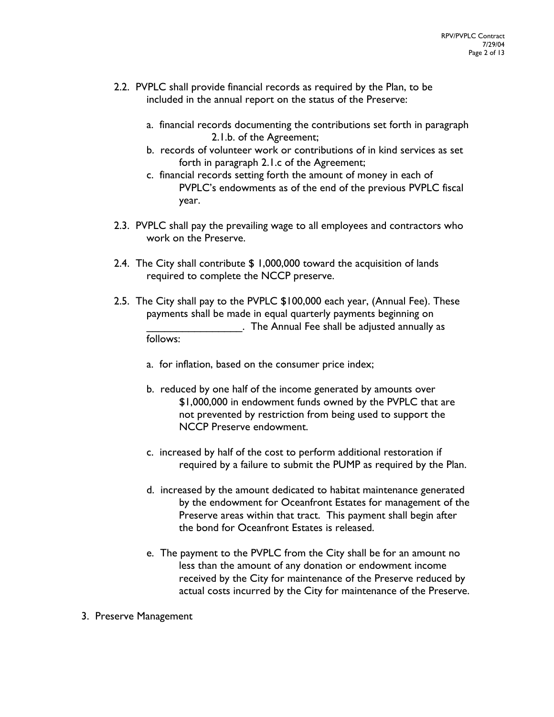- 2.2. PVPLC shall provide financial records as required by the Plan, to be included in the annual report on the status of the Preserve:
	- a. financial records documenting the contributions set forth in paragraph 2.1.b. of the Agreement;
	- b. records of volunteer work or contributions of in kind services as set forth in paragraph 2.1.c of the Agreement;
	- c. financial records setting forth the amount of money in each of PVPLC's endowments as of the end of the previous PVPLC fiscal year.
- 2.3. PVPLC shall pay the prevailing wage to all employees and contractors who work on the Preserve.
- 2.4. The City shall contribute \$ 1,000,000 toward the acquisition of lands required to complete the NCCP preserve.
- 2.5. The City shall pay to the PVPLC \$100,000 each year, (Annual Fee). These payments shall be made in equal quarterly payments beginning on The Annual Fee shall be adjusted annually as follows:
	- a. for inflation, based on the consumer price index;
	- b. reduced by one half of the income generated by amounts over \$1,000,000 in endowment funds owned by the PVPLC that are not prevented by restriction from being used to support the NCCP Preserve endowment.
	- c. increased by half of the cost to perform additional restoration if required by a failure to submit the PUMP as required by the Plan.
	- d. increased by the amount dedicated to habitat maintenance generated by the endowment for Oceanfront Estates for management of the Preserve areas within that tract. This payment shall begin after the bond for Oceanfront Estates is released.
	- e. The payment to the PVPLC from the City shall be for an amount no less than the amount of any donation or endowment income received by the City for maintenance of the Preserve reduced by actual costs incurred by the City for maintenance of the Preserve.
- 3. Preserve Management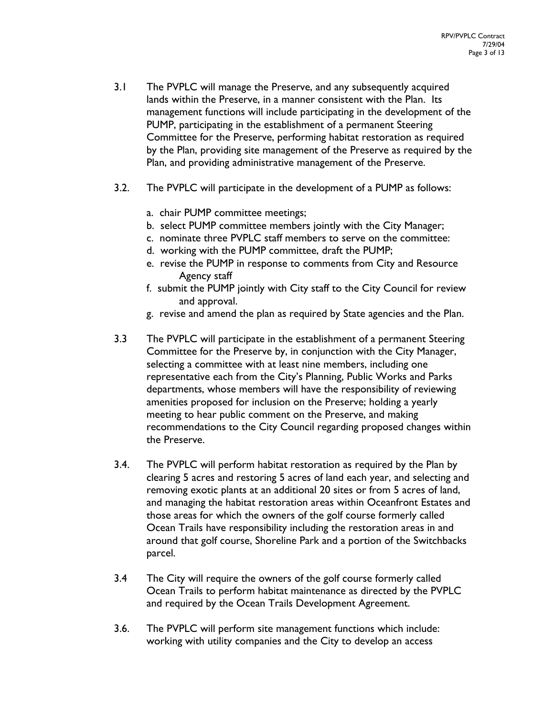- 3.1 The PVPLC will manage the Preserve, and any subsequently acquired lands within the Preserve, in a manner consistent with the Plan. Its management functions will include participating in the development of the PUMP, participating in the establishment of a permanent Steering Committee for the Preserve, performing habitat restoration as required by the Plan, providing site management of the Preserve as required by the Plan, and providing administrative management of the Preserve.
- 3.2. The PVPLC will participate in the development of a PUMP as follows:
	- a. chair PUMP committee meetings;
	- b. select PUMP committee members jointly with the City Manager;
	- c. nominate three PVPLC staff members to serve on the committee:
	- d. working with the PUMP committee, draft the PUMP;
	- e. revise the PUMP in response to comments from City and Resource Agency staff
	- f. submit the PUMP jointly with City staff to the City Council for review and approval.
	- g. revise and amend the plan as required by State agencies and the Plan.
- 3.3 The PVPLC will participate in the establishment of a permanent Steering Committee for the Preserve by, in conjunction with the City Manager, selecting a committee with at least nine members, including one representative each from the City's Planning, Public Works and Parks departments, whose members will have the responsibility of reviewing amenities proposed for inclusion on the Preserve; holding a yearly meeting to hear public comment on the Preserve, and making recommendations to the City Council regarding proposed changes within the Preserve.
- 3.4. The PVPLC will perform habitat restoration as required by the Plan by clearing 5 acres and restoring 5 acres of land each year, and selecting and removing exotic plants at an additional 20 sites or from 5 acres of land, and managing the habitat restoration areas within Oceanfront Estates and those areas for which the owners of the golf course formerly called Ocean Trails have responsibility including the restoration areas in and around that golf course, Shoreline Park and a portion of the Switchbacks parcel.
- 3.4 The City will require the owners of the golf course formerly called Ocean Trails to perform habitat maintenance as directed by the PVPLC and required by the Ocean Trails Development Agreement.
- 3.6. The PVPLC will perform site management functions which include: working with utility companies and the City to develop an access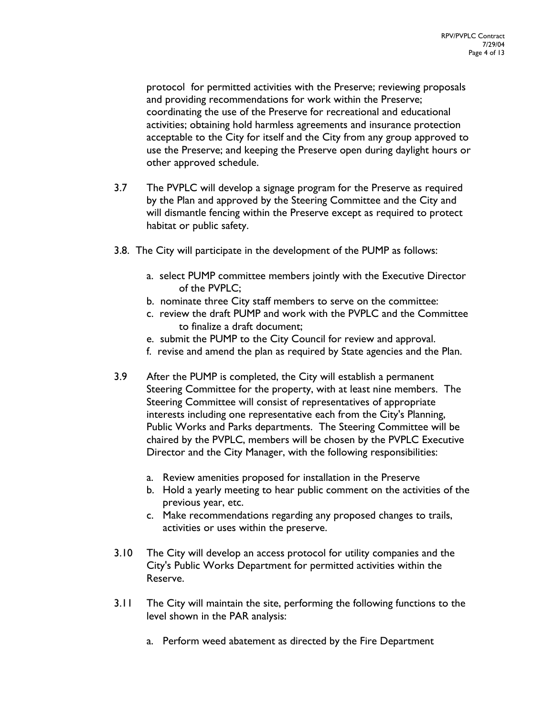protocol for permitted activities with the Preserve; reviewing proposals and providing recommendations for work within the Preserve; coordinating the use of the Preserve for recreational and educational activities; obtaining hold harmless agreements and insurance protection acceptable to the City for itself and the City from any group approved to use the Preserve; and keeping the Preserve open during daylight hours or other approved schedule.

- 3.7 The PVPLC will develop a signage program for the Preserve as required by the Plan and approved by the Steering Committee and the City and will dismantle fencing within the Preserve except as required to protect habitat or public safety.
- 3.8. The City will participate in the development of the PUMP as follows:
	- a. select PUMP committee members jointly with the Executive Director of the PVPLC;
	- b. nominate three City staff members to serve on the committee:
	- c. review the draft PUMP and work with the PVPLC and the Committee to finalize a draft document;
	- e. submit the PUMP to the City Council for review and approval.
	- f. revise and amend the plan as required by State agencies and the Plan.
- 3.9 After the PUMP is completed, the City will establish a permanent Steering Committee for the property, with at least nine members. The Steering Committee will consist of representatives of appropriate interests including one representative each from the City's Planning, Public Works and Parks departments. The Steering Committee will be chaired by the PVPLC, members will be chosen by the PVPLC Executive Director and the City Manager, with the following responsibilities:
	- a. Review amenities proposed for installation in the Preserve
	- b. Hold a yearly meeting to hear public comment on the activities of the previous year, etc.
	- c. Make recommendations regarding any proposed changes to trails, activities or uses within the preserve.
- 3.10 The City will develop an access protocol for utility companies and the City's Public Works Department for permitted activities within the Reserve.
- 3.11 The City will maintain the site, performing the following functions to the level shown in the PAR analysis:
	- a. Perform weed abatement as directed by the Fire Department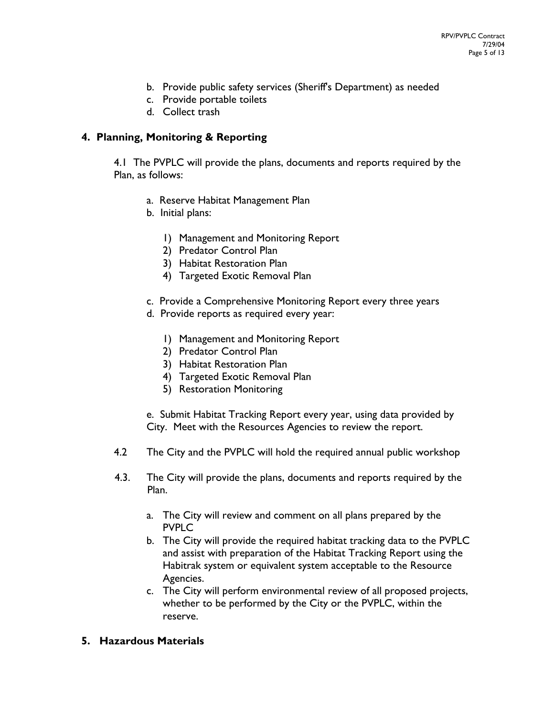- b. Provide public safety services (Sheriff's Department) as needed
- c. Provide portable toilets
- d. Collect trash

## **4. Planning, Monitoring & Reporting**

4.1 The PVPLC will provide the plans, documents and reports required by the Plan, as follows:

- a. Reserve Habitat Management Plan
- b. Initial plans:
	- 1) Management and Monitoring Report
	- 2) Predator Control Plan
	- 3) Habitat Restoration Plan
	- 4) Targeted Exotic Removal Plan
- c. Provide a Comprehensive Monitoring Report every three years
- d. Provide reports as required every year:
	- 1) Management and Monitoring Report
	- 2) Predator Control Plan
	- 3) Habitat Restoration Plan
	- 4) Targeted Exotic Removal Plan
	- 5) Restoration Monitoring

e. Submit Habitat Tracking Report every year, using data provided by City. Meet with the Resources Agencies to review the report.

- 4.2 The City and the PVPLC will hold the required annual public workshop
- 4.3. The City will provide the plans, documents and reports required by the Plan.
	- a. The City will review and comment on all plans prepared by the PVPLC
	- b. The City will provide the required habitat tracking data to the PVPLC and assist with preparation of the Habitat Tracking Report using the Habitrak system or equivalent system acceptable to the Resource Agencies.
	- c. The City will perform environmental review of all proposed projects, whether to be performed by the City or the PVPLC, within the reserve.

## **5. Hazardous Materials**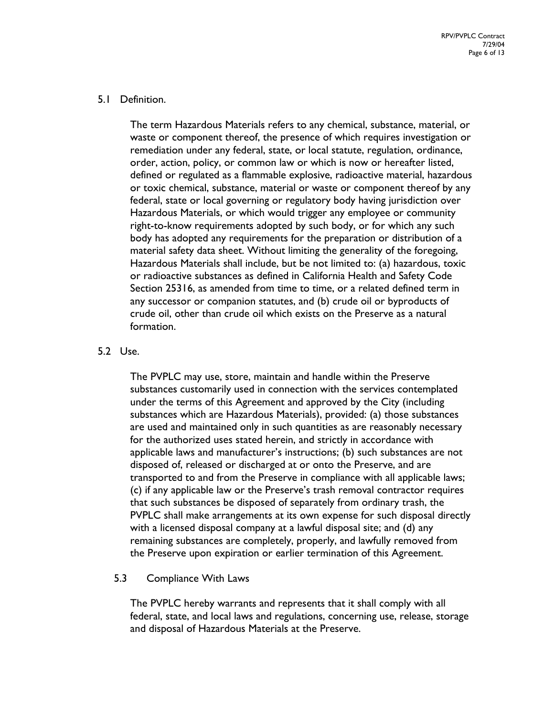## 5.1 Definition.

The term Hazardous Materials refers to any chemical, substance, material, or waste or component thereof, the presence of which requires investigation or remediation under any federal, state, or local statute, regulation, ordinance, order, action, policy, or common law or which is now or hereafter listed, defined or regulated as a flammable explosive, radioactive material, hazardous or toxic chemical, substance, material or waste or component thereof by any federal, state or local governing or regulatory body having jurisdiction over Hazardous Materials, or which would trigger any employee or community right-to-know requirements adopted by such body, or for which any such body has adopted any requirements for the preparation or distribution of a material safety data sheet. Without limiting the generality of the foregoing, Hazardous Materials shall include, but be not limited to: (a) hazardous, toxic or radioactive substances as defined in California Health and Safety Code Section 25316, as amended from time to time, or a related defined term in any successor or companion statutes, and (b) crude oil or byproducts of crude oil, other than crude oil which exists on the Preserve as a natural formation.

## 5.2 Use.

The PVPLC may use, store, maintain and handle within the Preserve substances customarily used in connection with the services contemplated under the terms of this Agreement and approved by the City (including substances which are Hazardous Materials), provided: (a) those substances are used and maintained only in such quantities as are reasonably necessary for the authorized uses stated herein, and strictly in accordance with applicable laws and manufacturer's instructions; (b) such substances are not disposed of, released or discharged at or onto the Preserve, and are transported to and from the Preserve in compliance with all applicable laws; (c) if any applicable law or the Preserve's trash removal contractor requires that such substances be disposed of separately from ordinary trash, the PVPLC shall make arrangements at its own expense for such disposal directly with a licensed disposal company at a lawful disposal site; and (d) any remaining substances are completely, properly, and lawfully removed from the Preserve upon expiration or earlier termination of this Agreement.

## 5.3 Compliance With Laws

The PVPLC hereby warrants and represents that it shall comply with all federal, state, and local laws and regulations, concerning use, release, storage and disposal of Hazardous Materials at the Preserve.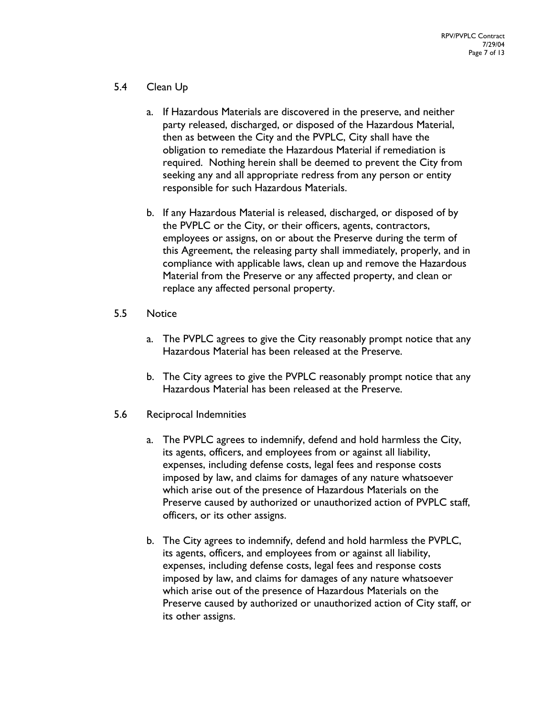- 5.4 Clean Up
	- a. If Hazardous Materials are discovered in the preserve, and neither party released, discharged, or disposed of the Hazardous Material, then as between the City and the PVPLC, City shall have the obligation to remediate the Hazardous Material if remediation is required. Nothing herein shall be deemed to prevent the City from seeking any and all appropriate redress from any person or entity responsible for such Hazardous Materials.
	- b. If any Hazardous Material is released, discharged, or disposed of by the PVPLC or the City, or their officers, agents, contractors, employees or assigns, on or about the Preserve during the term of this Agreement, the releasing party shall immediately, properly, and in compliance with applicable laws, clean up and remove the Hazardous Material from the Preserve or any affected property, and clean or replace any affected personal property.
- 5.5 Notice
	- a. The PVPLC agrees to give the City reasonably prompt notice that any Hazardous Material has been released at the Preserve.
	- b. The City agrees to give the PVPLC reasonably prompt notice that any Hazardous Material has been released at the Preserve.
- 5.6 Reciprocal Indemnities
	- a. The PVPLC agrees to indemnify, defend and hold harmless the City, its agents, officers, and employees from or against all liability, expenses, including defense costs, legal fees and response costs imposed by law, and claims for damages of any nature whatsoever which arise out of the presence of Hazardous Materials on the Preserve caused by authorized or unauthorized action of PVPLC staff, officers, or its other assigns.
	- b. The City agrees to indemnify, defend and hold harmless the PVPLC, its agents, officers, and employees from or against all liability, expenses, including defense costs, legal fees and response costs imposed by law, and claims for damages of any nature whatsoever which arise out of the presence of Hazardous Materials on the Preserve caused by authorized or unauthorized action of City staff, or its other assigns.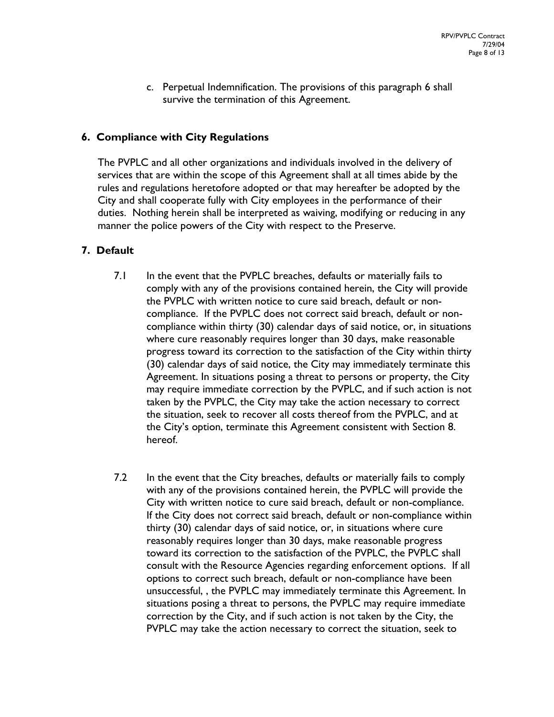c. Perpetual Indemnification. The provisions of this paragraph 6 shall survive the termination of this Agreement.

## **6. Compliance with City Regulations**

The PVPLC and all other organizations and individuals involved in the delivery of services that are within the scope of this Agreement shall at all times abide by the rules and regulations heretofore adopted or that may hereafter be adopted by the City and shall cooperate fully with City employees in the performance of their duties. Nothing herein shall be interpreted as waiving, modifying or reducing in any manner the police powers of the City with respect to the Preserve.

## **7. Default**

- 7.1 In the event that the PVPLC breaches, defaults or materially fails to comply with any of the provisions contained herein, the City will provide the PVPLC with written notice to cure said breach, default or noncompliance. If the PVPLC does not correct said breach, default or noncompliance within thirty (30) calendar days of said notice, or, in situations where cure reasonably requires longer than 30 days, make reasonable progress toward its correction to the satisfaction of the City within thirty (30) calendar days of said notice, the City may immediately terminate this Agreement. In situations posing a threat to persons or property, the City may require immediate correction by the PVPLC, and if such action is not taken by the PVPLC, the City may take the action necessary to correct the situation, seek to recover all costs thereof from the PVPLC, and at the City's option, terminate this Agreement consistent with Section 8. hereof.
- 7.2 In the event that the City breaches, defaults or materially fails to comply with any of the provisions contained herein, the PVPLC will provide the City with written notice to cure said breach, default or non-compliance. If the City does not correct said breach, default or non-compliance within thirty (30) calendar days of said notice, or, in situations where cure reasonably requires longer than 30 days, make reasonable progress toward its correction to the satisfaction of the PVPLC, the PVPLC shall consult with the Resource Agencies regarding enforcement options. If all options to correct such breach, default or non-compliance have been unsuccessful, , the PVPLC may immediately terminate this Agreement. In situations posing a threat to persons, the PVPLC may require immediate correction by the City, and if such action is not taken by the City, the PVPLC may take the action necessary to correct the situation, seek to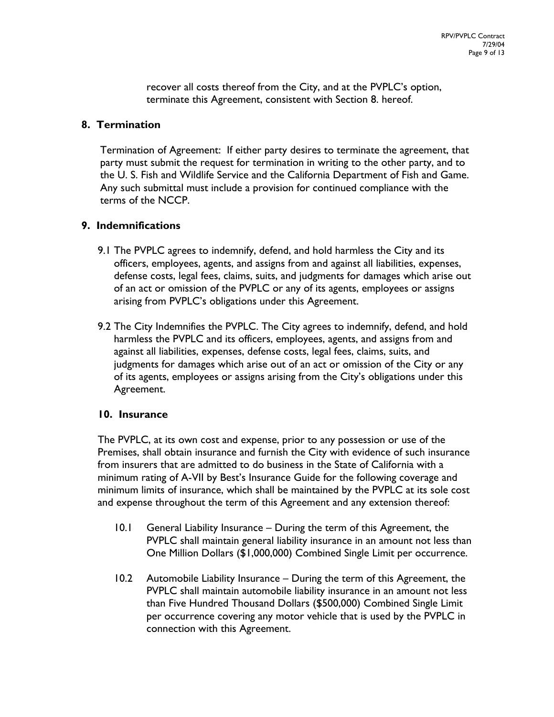recover all costs thereof from the City, and at the PVPLC's option, terminate this Agreement, consistent with Section 8. hereof.

## **8. Termination**

Termination of Agreement: If either party desires to terminate the agreement, that party must submit the request for termination in writing to the other party, and to the U. S. Fish and Wildlife Service and the California Department of Fish and Game. Any such submittal must include a provision for continued compliance with the terms of the NCCP.

## **9. Indemnifications**

- 9.1 The PVPLC agrees to indemnify, defend, and hold harmless the City and its officers, employees, agents, and assigns from and against all liabilities, expenses, defense costs, legal fees, claims, suits, and judgments for damages which arise out of an act or omission of the PVPLC or any of its agents, employees or assigns arising from PVPLC's obligations under this Agreement.
- 9.2 The City Indemnifies the PVPLC. The City agrees to indemnify, defend, and hold harmless the PVPLC and its officers, employees, agents, and assigns from and against all liabilities, expenses, defense costs, legal fees, claims, suits, and judgments for damages which arise out of an act or omission of the City or any of its agents, employees or assigns arising from the City's obligations under this Agreement.

## **10. Insurance**

The PVPLC, at its own cost and expense, prior to any possession or use of the Premises, shall obtain insurance and furnish the City with evidence of such insurance from insurers that are admitted to do business in the State of California with a minimum rating of A-VII by Best's Insurance Guide for the following coverage and minimum limits of insurance, which shall be maintained by the PVPLC at its sole cost and expense throughout the term of this Agreement and any extension thereof:

- 10.1 General Liability Insurance During the term of this Agreement, the PVPLC shall maintain general liability insurance in an amount not less than One Million Dollars (\$1,000,000) Combined Single Limit per occurrence.
- 10.2 Automobile Liability Insurance During the term of this Agreement, the PVPLC shall maintain automobile liability insurance in an amount not less than Five Hundred Thousand Dollars (\$500,000) Combined Single Limit per occurrence covering any motor vehicle that is used by the PVPLC in connection with this Agreement.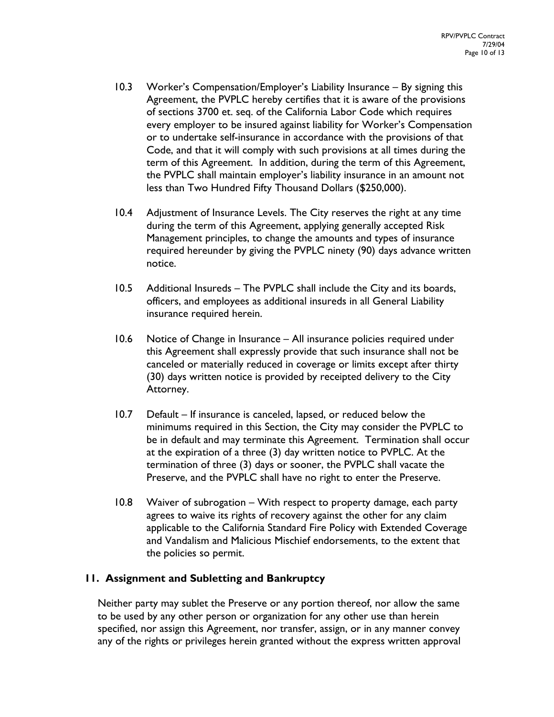- 10.3 Worker's Compensation/Employer's Liability Insurance By signing this Agreement, the PVPLC hereby certifies that it is aware of the provisions of sections 3700 et. seq. of the California Labor Code which requires every employer to be insured against liability for Worker's Compensation or to undertake self-insurance in accordance with the provisions of that Code, and that it will comply with such provisions at all times during the term of this Agreement. In addition, during the term of this Agreement, the PVPLC shall maintain employer's liability insurance in an amount not less than Two Hundred Fifty Thousand Dollars (\$250,000).
- 10.4 Adjustment of Insurance Levels. The City reserves the right at any time during the term of this Agreement, applying generally accepted Risk Management principles, to change the amounts and types of insurance required hereunder by giving the PVPLC ninety (90) days advance written notice.
- 10.5 Additional Insureds The PVPLC shall include the City and its boards, officers, and employees as additional insureds in all General Liability insurance required herein.
- 10.6 Notice of Change in Insurance All insurance policies required under this Agreement shall expressly provide that such insurance shall not be canceled or materially reduced in coverage or limits except after thirty (30) days written notice is provided by receipted delivery to the City Attorney.
- 10.7 Default If insurance is canceled, lapsed, or reduced below the minimums required in this Section, the City may consider the PVPLC to be in default and may terminate this Agreement. Termination shall occur at the expiration of a three (3) day written notice to PVPLC. At the termination of three (3) days or sooner, the PVPLC shall vacate the Preserve, and the PVPLC shall have no right to enter the Preserve.
- 10.8 Waiver of subrogation With respect to property damage, each party agrees to waive its rights of recovery against the other for any claim applicable to the California Standard Fire Policy with Extended Coverage and Vandalism and Malicious Mischief endorsements, to the extent that the policies so permit.

## **11. Assignment and Subletting and Bankruptcy**

Neither party may sublet the Preserve or any portion thereof, nor allow the same to be used by any other person or organization for any other use than herein specified, nor assign this Agreement, nor transfer, assign, or in any manner convey any of the rights or privileges herein granted without the express written approval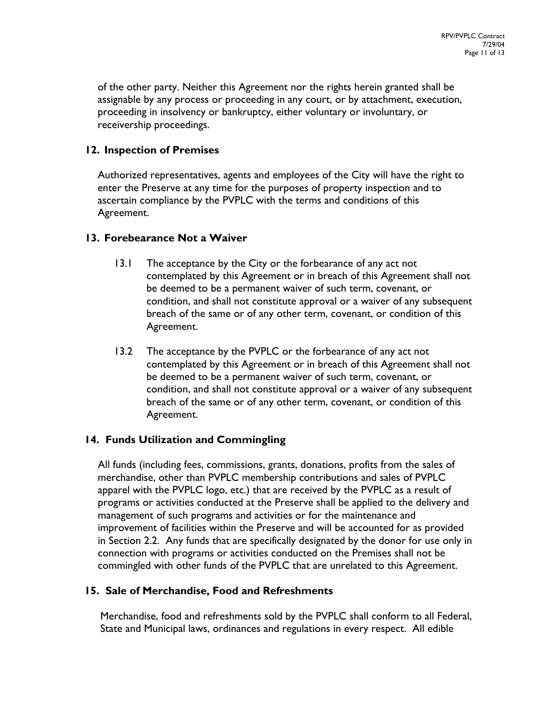of the other party. Neither this Agreement nor the rights herein granted shall be assignable by any process or proceeding in any court, or by attachment, execution, proceeding in insolvency or bankruptcy, either voluntary or involuntary, or receivership proceedings.

## **12. Inspection of Premises**

Authorized representatives, agents and employees of the City will have the right to enter the Preserve at any time for the purposes of property inspection and to ascertain compliance by the PVPLC with the terms and conditions of this Agreement.

## **13. Forebearance Not a Waiver**

- 13.1 The acceptance by the City or the forbearance of any act not contemplated by this Agreement or in breach of this Agreement shall not be deemed to be a permanent waiver of such term, covenant, or condition, and shall not constitute approval or a waiver of any subsequent breach of the same or of any other term, covenant, or condition of this Agreement.
- 13.2 The acceptance by the PVPLC or the forbearance of any act not contemplated by this Agreement or in breach of this Agreement shall not be deemed to be a permanent waiver of such term, covenant, or condition, and shall not constitute approval or a waiver of any subsequent breach of the same or of any other term, covenant, or condition of this Agreement.

## **14. Funds Utilization and Commingling**

All funds (including fees, commissions, grants, donations, profits from the sales of merchandise, other than PVPLC membership contributions and sales of PVPLC apparel with the PVPLC logo, etc.) that are received by the PVPLC as a result of programs or activities conducted at the Preserve shall be applied to the delivery and management of such programs and activities or for the maintenance and improvement of facilities within the Preserve and will be accounted for as provided in Section 2.2. Any funds that are specifically designated by the donor for use only in connection with programs or activities conducted on the Premises shall not be commingled with other funds of the PVPLC that are unrelated to this Agreement.

## **15. Sale of Merchandise, Food and Refreshments**

Merchandise, food and refreshments sold by the PVPLC shall conform to all Federal, State and Municipal laws, ordinances and regulations in every respect. All edible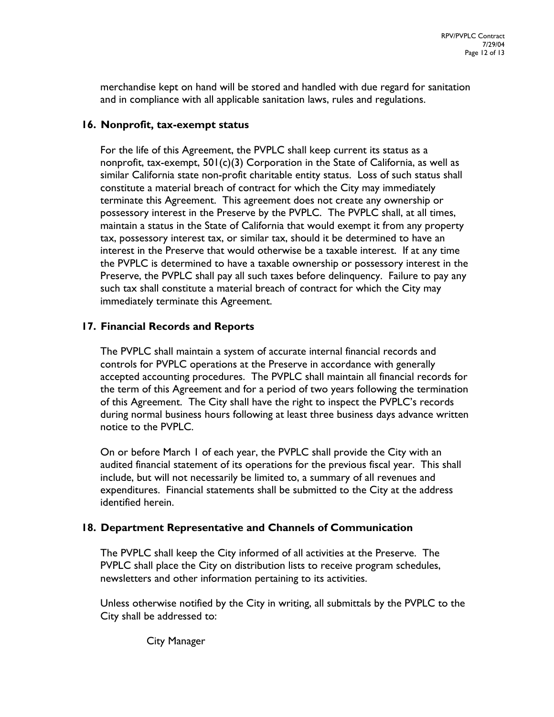merchandise kept on hand will be stored and handled with due regard for sanitation and in compliance with all applicable sanitation laws, rules and regulations.

## **16. Nonprofit, tax-exempt status**

For the life of this Agreement, the PVPLC shall keep current its status as a nonprofit, tax-exempt,  $501(c)(3)$  Corporation in the State of California, as well as similar California state non-profit charitable entity status. Loss of such status shall constitute a material breach of contract for which the City may immediately terminate this Agreement. This agreement does not create any ownership or possessory interest in the Preserve by the PVPLC. The PVPLC shall, at all times, maintain a status in the State of California that would exempt it from any property tax, possessory interest tax, or similar tax, should it be determined to have an interest in the Preserve that would otherwise be a taxable interest. If at any time the PVPLC is determined to have a taxable ownership or possessory interest in the Preserve, the PVPLC shall pay all such taxes before delinquency. Failure to pay any such tax shall constitute a material breach of contract for which the City may immediately terminate this Agreement.

## **17. Financial Records and Reports**

The PVPLC shall maintain a system of accurate internal financial records and controls for PVPLC operations at the Preserve in accordance with generally accepted accounting procedures. The PVPLC shall maintain all financial records for the term of this Agreement and for a period of two years following the termination of this Agreement. The City shall have the right to inspect the PVPLC's records during normal business hours following at least three business days advance written notice to the PVPLC.

On or before March 1 of each year, the PVPLC shall provide the City with an audited financial statement of its operations for the previous fiscal year. This shall include, but will not necessarily be limited to, a summary of all revenues and expenditures. Financial statements shall be submitted to the City at the address identified herein.

## **18. Department Representative and Channels of Communication**

The PVPLC shall keep the City informed of all activities at the Preserve. The PVPLC shall place the City on distribution lists to receive program schedules, newsletters and other information pertaining to its activities.

Unless otherwise notified by the City in writing, all submittals by the PVPLC to the City shall be addressed to:

City Manager